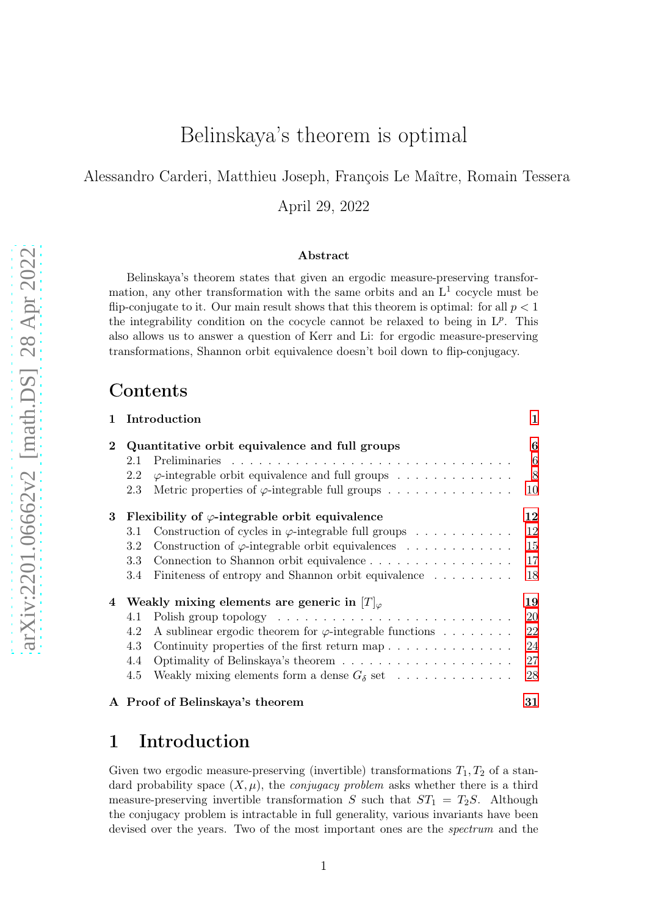# Belinskaya's theorem is optimal

Alessandro Carderi, Matthieu Joseph, François Le Maître, Romain Tessera

April 29, 2022

#### Abstract

Belinskaya's theorem states that given an ergodic measure-preserving transformation, any other transformation with the same orbits and an  $L<sup>1</sup>$  cocycle must be flip-conjugate to it. Our main result shows that this theorem is optimal: for all  $p < 1$ the integrability condition on the cocycle cannot be relaxed to being in  $L^p$ . This also allows us to answer a question of Kerr and Li: for ergodic measure-preserving transformations, Shannon orbit equivalence doesn't boil down to flip-conjugacy.

### Contents

| 1.       |                                                        | Introduction                                                    | 1  |  |  |
|----------|--------------------------------------------------------|-----------------------------------------------------------------|----|--|--|
| $\bf{2}$ | Quantitative orbit equivalence and full groups         |                                                                 |    |  |  |
|          | 2.1                                                    |                                                                 | 6  |  |  |
|          | 2.2                                                    | $\varphi$ -integrable orbit equivalence and full groups         | 8  |  |  |
|          | 2.3                                                    | Metric properties of $\varphi$ -integrable full groups          | 10 |  |  |
| 3        | Flexibility of $\varphi$ -integrable orbit equivalence |                                                                 |    |  |  |
|          | 3.1                                                    | Construction of cycles in $\varphi$ -integrable full groups     | 12 |  |  |
|          | 3.2                                                    | Construction of $\varphi$ -integrable orbit equivalences        | 15 |  |  |
|          | 3.3                                                    | Connection to Shannon orbit equivalence                         | 17 |  |  |
|          | 3.4                                                    | Finiteness of entropy and Shannon orbit equivalence             | 18 |  |  |
| 4        | Weakly mixing elements are generic in $[T]_{\varphi}$  |                                                                 |    |  |  |
|          | 4.1                                                    |                                                                 | 20 |  |  |
|          | 4.2                                                    | A sublinear ergodic theorem for $\varphi$ -integrable functions | 22 |  |  |
|          | 4.3                                                    |                                                                 | 24 |  |  |
|          | 4.4                                                    |                                                                 | 27 |  |  |
|          | 4.5                                                    | Weakly mixing elements form a dense $G_{\delta}$ set            | 28 |  |  |
|          |                                                        | A Proof of Belinskaya's theorem                                 | 31 |  |  |

## <span id="page-0-0"></span>1 Introduction

Given two ergodic measure-preserving (invertible) transformations  $T_1, T_2$  of a standard probability space  $(X, \mu)$ , the *conjugacy problem* asks whether there is a third measure-preserving invertible transformation S such that  $ST_1 = T_2S$ . Although the conjugacy problem is intractable in full generality, various invariants have been devised over the years. Two of the most important ones are the spectrum and the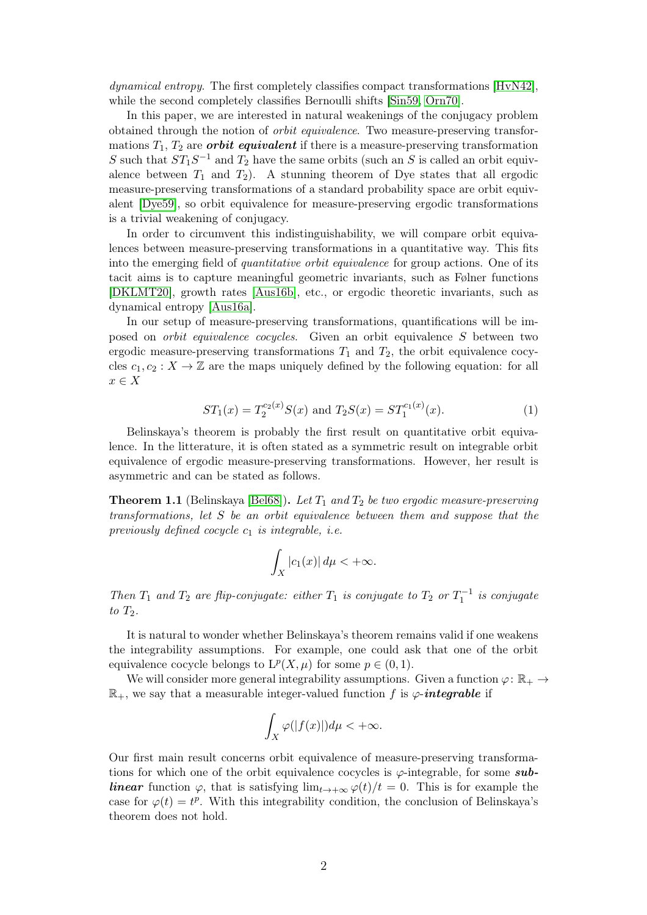dynamical entropy. The first completely classifies compact transformations [\[HvN42\]](#page-32-0), while the second completely classifies Bernoulli shifts [\[Sin59,](#page-33-0) [Orn70\]](#page-33-1).

In this paper, we are interested in natural weakenings of the conjugacy problem obtained through the notion of orbit equivalence. Two measure-preserving transformations  $T_1, T_2$  are *orbit equivalent* if there is a measure-preserving transformation S such that  $ST_1S^{-1}$  and  $T_2$  have the same orbits (such an S is called an orbit equivalence between  $T_1$  and  $T_2$ ). A stunning theorem of Dye states that all ergodic measure-preserving transformations of a standard probability space are orbit equivalent [\[Dye59\]](#page-32-1), so orbit equivalence for measure-preserving ergodic transformations is a trivial weakening of conjugacy.

In order to circumvent this indistinguishability, we will compare orbit equivalences between measure-preserving transformations in a quantitative way. This fits into the emerging field of *quantitative orbit equivalence* for group actions. One of its tacit aims is to capture meaningful geometric invariants, such as Følner functions [\[DKLMT20\]](#page-32-2), growth rates [\[Aus16b\]](#page-32-3), etc., or ergodic theoretic invariants, such as dynamical entropy [\[Aus16a\]](#page-32-4).

In our setup of measure-preserving transformations, quantifications will be imposed on orbit equivalence cocycles. Given an orbit equivalence S between two ergodic measure-preserving transformations  $T_1$  and  $T_2$ , the orbit equivalence cocycles  $c_1, c_2 : X \to \mathbb{Z}$  are the maps uniquely defined by the following equation: for all  $x \in X$ 

$$
ST_1(x) = T_2^{c_2(x)}S(x) \text{ and } T_2S(x) = ST_1^{c_1(x)}(x). \tag{1}
$$

Belinskaya's theorem is probably the first result on quantitative orbit equivalence. In the litterature, it is often stated as a symmetric result on integrable orbit equivalence of ergodic measure-preserving transformations. However, her result is asymmetric and can be stated as follows.

**Theorem 1.1** (Belinskaya [\[Bel68\]](#page-32-5)). Let  $T_1$  and  $T_2$  be two ergodic measure-preserving transformations, let S be an orbit equivalence between them and suppose that the previously defined cocycle  $c_1$  is integrable, i.e.

$$
\int_X |c_1(x)| \, d\mu < +\infty.
$$

Then  $T_1$  and  $T_2$  are flip-conjugate: either  $T_1$  is conjugate to  $T_2$  or  $T_1^{-1}$  is conjugate to  $T_2$ .

It is natural to wonder whether Belinskaya's theorem remains valid if one weakens the integrability assumptions. For example, one could ask that one of the orbit equivalence cocycle belongs to  $L^p(X, \mu)$  for some  $p \in (0, 1)$ .

We will consider more general integrability assumptions. Given a function  $\varphi: \mathbb{R}_+ \to$  $\mathbb{R}_+$ , we say that a measurable integer-valued function f is  $\varphi$ -integrable if

$$
\int_X \varphi(|f(x)|) d\mu < +\infty.
$$

Our first main result concerns orbit equivalence of measure-preserving transformations for which one of the orbit equivalence cocycles is  $\varphi$ -integrable, for some sub*linear* function  $\varphi$ , that is satisfying  $\lim_{t\to+\infty} \varphi(t)/t = 0$ . This is for example the case for  $\varphi(t) = t^p$ . With this integrability condition, the conclusion of Belinskaya's theorem does not hold.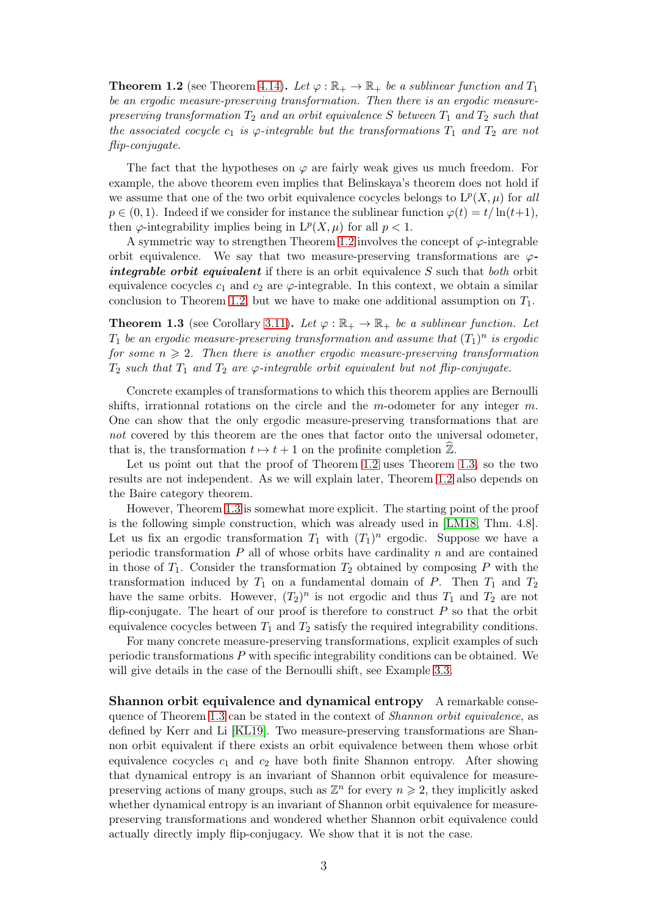<span id="page-2-0"></span>**Theorem 1.2** (see Theorem [4.14\)](#page-26-1). Let  $\varphi : \mathbb{R}_+ \to \mathbb{R}_+$  be a sublinear function and  $T_1$ be an ergodic measure-preserving transformation. Then there is an ergodic measurepreserving transformation  $T_2$  and an orbit equivalence S between  $T_1$  and  $T_2$  such that the associated cocycle  $c_1$  is  $\varphi$ -integrable but the transformations  $T_1$  and  $T_2$  are not flip-conjugate.

The fact that the hypotheses on  $\varphi$  are fairly weak gives us much freedom. For example, the above theorem even implies that Belinskaya's theorem does not hold if we assume that one of the two orbit equivalence cocycles belongs to  $L^p(X, \mu)$  for all  $p \in (0,1)$ . Indeed if we consider for instance the sublinear function  $\varphi(t) = t/\ln(t+1)$ , then  $\varphi$ -integrability implies being in  $L^p(X, \mu)$  for all  $p < 1$ .

A symmetric way to strengthen Theorem [1.2](#page-2-0) involves the concept of  $\varphi$ -integrable orbit equivalence. We say that two measure-preserving transformations are  $\varphi$ integrable orbit equivalent if there is an orbit equivalence  $S$  such that both orbit equivalence cocycles  $c_1$  and  $c_2$  are  $\varphi$ -integrable. In this context, we obtain a similar conclusion to Theorem [1.2,](#page-2-0) but we have to make one additional assumption on  $T_1$ .

<span id="page-2-1"></span>**Theorem 1.3** (see Corollary [3.11\)](#page-16-1). Let  $\varphi : \mathbb{R}_+ \to \mathbb{R}_+$  be a sublinear function. Let  $T_1$  be an ergodic measure-preserving transformation and assume that  $(T_1)^n$  is ergodic for some  $n \geqslant 2$ . Then there is another ergodic measure-preserving transformation  $T_2$  such that  $T_1$  and  $T_2$  are  $\varphi$ -integrable orbit equivalent but not flip-conjugate.

Concrete examples of transformations to which this theorem applies are Bernoulli shifts, irrationnal rotations on the circle and the m-odometer for any integer  $m$ . One can show that the only ergodic measure-preserving transformations that are not covered by this theorem are the ones that factor onto the universal odometer, that is, the transformation  $t \mapsto t + 1$  on the profinite completion  $\mathbb{Z}$ .

Let us point out that the proof of Theorem [1.2](#page-2-0) uses Theorem [1.3,](#page-2-1) so the two results are not independent. As we will explain later, Theorem [1.2](#page-2-0) also depends on the Baire category theorem.

However, Theorem [1.3](#page-2-1) is somewhat more explicit. The starting point of the proof is the following simple construction, which was already used in [\[LM18,](#page-33-2) Thm. 4.8]. Let us fix an ergodic transformation  $T_1$  with  $(T_1)^n$  ergodic. Suppose we have a periodic transformation  $P$  all of whose orbits have cardinality  $n$  and are contained in those of  $T_1$ . Consider the transformation  $T_2$  obtained by composing P with the transformation induced by  $T_1$  on a fundamental domain of P. Then  $T_1$  and  $T_2$ have the same orbits. However,  $(T_2)^n$  is not ergodic and thus  $T_1$  and  $T_2$  are not flip-conjugate. The heart of our proof is therefore to construct  $P$  so that the orbit equivalence cocycles between  $T_1$  and  $T_2$  satisfy the required integrability conditions.

For many concrete measure-preserving transformations, explicit examples of such periodic transformations P with specific integrability conditions can be obtained. We will give details in the case of the Bernoulli shift, see Example [3.3.](#page-12-0)

Shannon orbit equivalence and dynamical entropy A remarkable consequence of Theorem [1.3](#page-2-1) can be stated in the context of Shannon orbit equivalence, as defined by Kerr and Li [\[KL19\]](#page-32-6). Two measure-preserving transformations are Shannon orbit equivalent if there exists an orbit equivalence between them whose orbit equivalence cocycles  $c_1$  and  $c_2$  have both finite Shannon entropy. After showing that dynamical entropy is an invariant of Shannon orbit equivalence for measurepreserving actions of many groups, such as  $\mathbb{Z}^n$  for every  $n \geq 2$ , they implicitly asked whether dynamical entropy is an invariant of Shannon orbit equivalence for measurepreserving transformations and wondered whether Shannon orbit equivalence could actually directly imply flip-conjugacy. We show that it is not the case.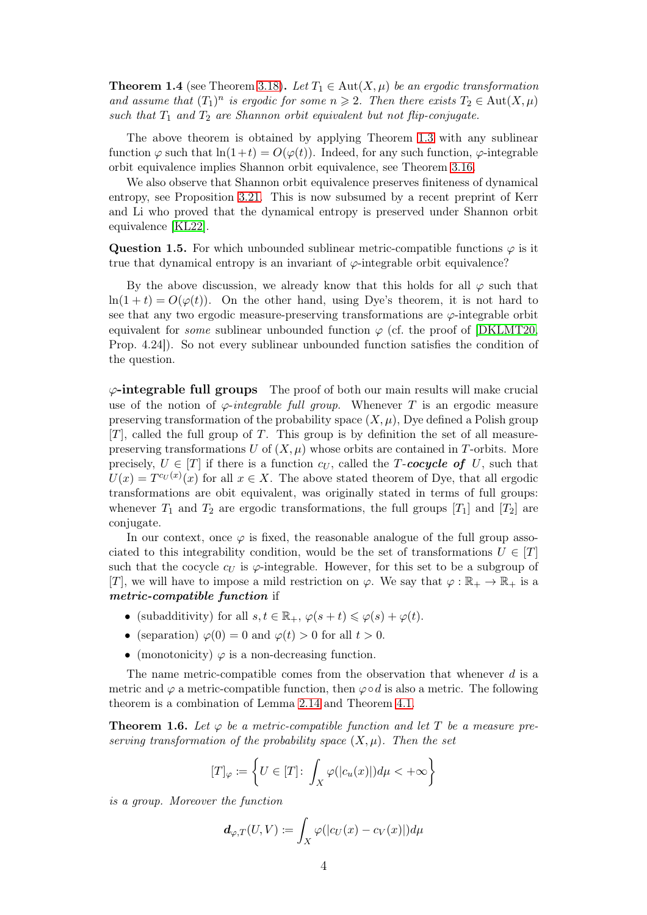**Theorem 1.4** (see Theorem [3.18\)](#page-17-1). Let  $T_1 \in Aut(X, \mu)$  be an ergodic transformation and assume that  $(T_1)^n$  is ergodic for some  $n \geq 2$ . Then there exists  $T_2 \in \text{Aut}(X, \mu)$ such that  $T_1$  and  $T_2$  are Shannon orbit equivalent but not flip-conjugate.

The above theorem is obtained by applying Theorem [1.3](#page-2-1) with any sublinear function  $\varphi$  such that  $\ln(1+t) = O(\varphi(t))$ . Indeed, for any such function,  $\varphi$ -integrable orbit equivalence implies Shannon orbit equivalence, see Theorem [3.16.](#page-17-2)

We also observe that Shannon orbit equivalence preserves finiteness of dynamical entropy, see Proposition [3.21.](#page-18-1) This is now subsumed by a recent preprint of Kerr and Li who proved that the dynamical entropy is preserved under Shannon orbit equivalence [\[KL22\]](#page-32-7).

Question 1.5. For which unbounded sublinear metric-compatible functions  $\varphi$  is it true that dynamical entropy is an invariant of  $\varphi$ -integrable orbit equivalence?

By the above discussion, we already know that this holds for all  $\varphi$  such that  $ln(1 + t) = O(\varphi(t))$ . On the other hand, using Dye's theorem, it is not hard to see that any two ergodic measure-preserving transformations are  $\varphi$ -integrable orbit equivalent for *some* sublinear unbounded function  $\varphi$  (cf. the proof of [\[DKLMT20,](#page-32-2) Prop. 4.24]). So not every sublinear unbounded function satisfies the condition of the question.

 $\varphi$ -integrable full groups The proof of both our main results will make crucial use of the notion of  $\varphi$ -integrable full group. Whenever T is an ergodic measure preserving transformation of the probability space  $(X, \mu)$ , Dye defined a Polish group  $[T]$ , called the full group of T. This group is by definition the set of all measurepreserving transformations U of  $(X, \mu)$  whose orbits are contained in T-orbits. More precisely,  $U \in [T]$  if there is a function  $c_U$ , called the T-cocycle of U, such that  $U(x) = T^{c_U(x)}(x)$  for all  $x \in X$ . The above stated theorem of Dye, that all ergodic transformations are obit equivalent, was originally stated in terms of full groups: whenever  $T_1$  and  $T_2$  are ergodic transformations, the full groups  $[T_1]$  and  $[T_2]$  are conjugate.

In our context, once  $\varphi$  is fixed, the reasonable analogue of the full group associated to this integrability condition, would be the set of transformations  $U \in [T]$ such that the cocycle  $c_U$  is  $\varphi$ -integrable. However, for this set to be a subgroup of [T], we will have to impose a mild restriction on  $\varphi$ . We say that  $\varphi : \mathbb{R}_+ \to \mathbb{R}_+$  is a metric-compatible function if

- (subadditivity) for all  $s, t \in \mathbb{R}_+, \varphi(s+t) \leq \varphi(s) + \varphi(t)$ .
- (separation)  $\varphi(0) = 0$  and  $\varphi(t) > 0$  for all  $t > 0$ .
- (monotonicity)  $\varphi$  is a non-decreasing function.

The name metric-compatible comes from the observation that whenever d is a metric and  $\varphi$  a metric-compatible function, then  $\varphi \circ d$  is also a metric. The following theorem is a combination of Lemma [2.14](#page-9-1) and Theorem [4.1.](#page-19-1)

**Theorem 1.6.** Let  $\varphi$  be a metric-compatible function and let T be a measure preserving transformation of the probability space  $(X, \mu)$ . Then the set

$$
[T]_{\varphi} := \left\{ U \in [T] \colon \int_X \varphi(|c_u(x)|) d\mu < +\infty \right\}
$$

is a group. Moreover the function

$$
\boldsymbol{d}_{\varphi,T}(U,V)\coloneqq \int_X \varphi(|c_U(x)-c_V(x)|)d\mu
$$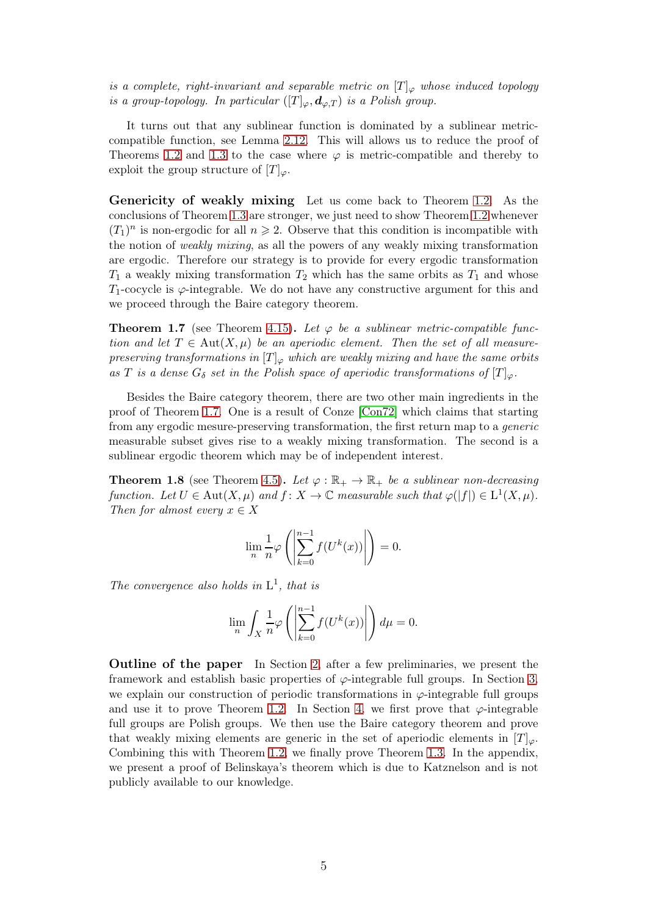is a complete, right-invariant and separable metric on  $[T]_{\varphi}$  whose induced topology is a group-topology. In particular  $([T]_{\varphi}, \boldsymbol{d}_{\varphi,T})$  is a Polish group.

It turns out that any sublinear function is dominated by a sublinear metriccompatible function, see Lemma [2.12.](#page-8-0) This will allows us to reduce the proof of Theorems [1.2](#page-2-0) and [1.3](#page-2-1) to the case where  $\varphi$  is metric-compatible and thereby to exploit the group structure of  $[T]_{\varphi}$ .

Genericity of weakly mixing Let us come back to Theorem [1.2.](#page-2-0) As the conclusions of Theorem [1.3](#page-2-1) are stronger, we just need to show Theorem [1.2](#page-2-0) whenever  $(T_1)^n$  is non-ergodic for all  $n \geq 2$ . Observe that this condition is incompatible with the notion of weakly mixing, as all the powers of any weakly mixing transformation are ergodic. Therefore our strategy is to provide for every ergodic transformation  $T_1$  a weakly mixing transformation  $T_2$  which has the same orbits as  $T_1$  and whose  $T_1$ -cocycle is  $\varphi$ -integrable. We do not have any constructive argument for this and we proceed through the Baire category theorem.

<span id="page-4-0"></span>**Theorem 1.7** (see Theorem [4.15\)](#page-26-2). Let  $\varphi$  be a sublinear metric-compatible function and let  $T \in Aut(X, \mu)$  be an aperiodic element. Then the set of all measurepreserving transformations in  $[T]_{\varphi}$  which are weakly mixing and have the same orbits as T is a dense  $G_{\delta}$  set in the Polish space of aperiodic transformations of  $[T]_{\varphi}$ .

Besides the Baire category theorem, there are two other main ingredients in the proof of Theorem [1.7.](#page-4-0) One is a result of Conze [\[Con72\]](#page-32-8) which claims that starting from any ergodic mesure-preserving transformation, the first return map to a generic measurable subset gives rise to a weakly mixing transformation. The second is a sublinear ergodic theorem which may be of independent interest.

**Theorem 1.8** (see Theorem [4.5\)](#page-22-0). Let  $\varphi : \mathbb{R}_+ \to \mathbb{R}_+$  be a sublinear non-decreasing function. Let  $U \in Aut(X, \mu)$  and  $f: X \to \mathbb{C}$  measurable such that  $\varphi(|f|) \in L^1(X, \mu)$ . Then for almost every  $x \in X$ 

$$
\lim_{n} \frac{1}{n} \varphi \left( \left| \sum_{k=0}^{n-1} f(U^{k}(x)) \right| \right) = 0.
$$

The convergence also holds in  $L^1$ , that is

$$
\lim_{n} \int_{X} \frac{1}{n} \varphi \left( \left| \sum_{k=0}^{n-1} f(U^{k}(x)) \right| \right) d\mu = 0.
$$

Outline of the paper In Section [2,](#page-5-0) after a few preliminaries, we present the framework and establish basic properties of  $\varphi$ -integrable full groups. In Section [3,](#page-11-0) we explain our construction of periodic transformations in  $\varphi$ -integrable full groups and use it to prove Theorem [1.2.](#page-2-0) In Section [4,](#page-18-0) we first prove that  $\varphi$ -integrable full groups are Polish groups. We then use the Baire category theorem and prove that weakly mixing elements are generic in the set of aperiodic elements in  $[T]_{\varphi}$ . Combining this with Theorem [1.2,](#page-2-0) we finally prove Theorem [1.3.](#page-2-1) In the appendix, we present a proof of Belinskaya's theorem which is due to Katznelson and is not publicly available to our knowledge.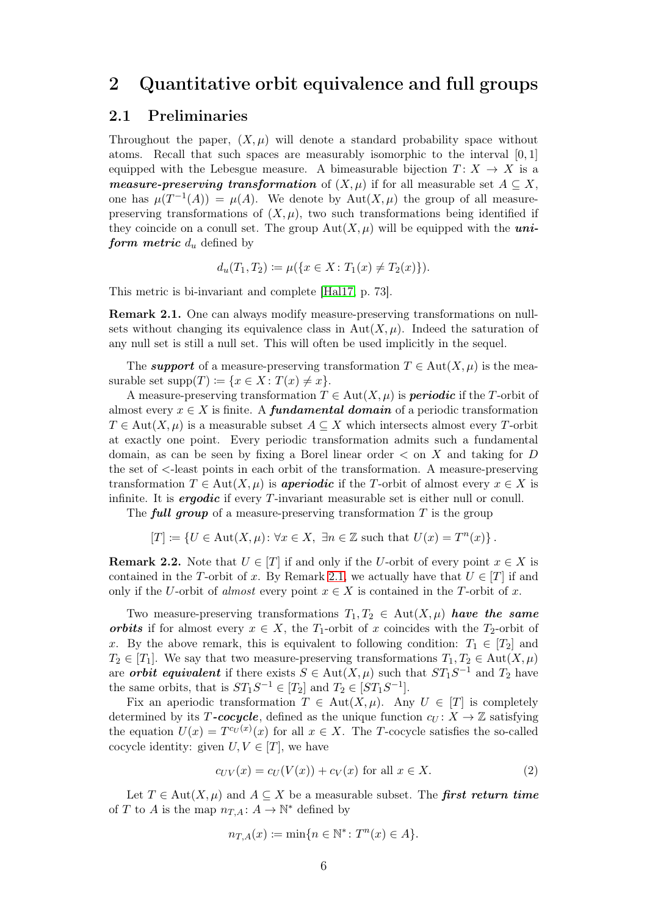### <span id="page-5-1"></span><span id="page-5-0"></span>2 Quantitative orbit equivalence and full groups

#### 2.1 Preliminaries

Throughout the paper,  $(X, \mu)$  will denote a standard probability space without atoms. Recall that such spaces are measurably isomorphic to the interval [0, 1] equipped with the Lebesgue measure. A bimeasurable bijection  $T: X \to X$  is a measure-preserving transformation of  $(X, \mu)$  if for all measurable set  $A \subseteq X$ , one has  $\mu(T^{-1}(A)) = \mu(A)$ . We denote by  $Aut(X, \mu)$  the group of all measurepreserving transformations of  $(X, \mu)$ , two such transformations being identified if they coincide on a conull set. The group  $Aut(X, \mu)$  will be equipped with the *uni*form metric  $d_u$  defined by

$$
d_u(T_1, T_2) := \mu(\{x \in X : T_1(x) \neq T_2(x)\}).
$$

This metric is bi-invariant and complete [\[Hal17,](#page-32-9) p. 73].

<span id="page-5-2"></span>Remark 2.1. One can always modify measure-preserving transformations on nullsets without changing its equivalence class in  $Aut(X, \mu)$ . Indeed the saturation of any null set is still a null set. This will often be used implicitly in the sequel.

The support of a measure-preserving transformation  $T \in Aut(X, \mu)$  is the measurable set  $supp(T) := \{x \in X : T(x) \neq x\}.$ 

A measure-preserving transformation  $T \in Aut(X, \mu)$  is **periodic** if the T-orbit of almost every  $x \in X$  is finite. A **fundamental domain** of a periodic transformation  $T \in \text{Aut}(X, \mu)$  is a measurable subset  $A \subseteq X$  which intersects almost every T-orbit at exactly one point. Every periodic transformation admits such a fundamental domain, as can be seen by fixing a Borel linear order  $\lt$  on X and taking for D the set of <-least points in each orbit of the transformation. A measure-preserving transformation  $T \in Aut(X, \mu)$  is **aperiodic** if the T-orbit of almost every  $x \in X$  is infinite. It is *ergodic* if every T-invariant measurable set is either null or conull.

The **full group** of a measure-preserving transformation  $T$  is the group

$$
[T] \coloneqq \{ U \in \text{Aut}(X, \mu) \colon \forall x \in X, \ \exists n \in \mathbb{Z} \text{ such that } U(x) = T^n(x) \}.
$$

**Remark 2.2.** Note that  $U \in [T]$  if and only if the U-orbit of every point  $x \in X$  is contained in the T-orbit of x. By Remark [2.1,](#page-5-2) we actually have that  $U \in [T]$  if and only if the U-orbit of almost every point  $x \in X$  is contained in the T-orbit of x.

Two measure-preserving transformations  $T_1, T_2 \in \text{Aut}(X, \mu)$  have the same **orbits** if for almost every  $x \in X$ , the  $T_1$ -orbit of x coincides with the  $T_2$ -orbit of x. By the above remark, this is equivalent to following condition:  $T_1 \in [T_2]$  and  $T_2 \in [T_1]$ . We say that two measure-preserving transformations  $T_1, T_2 \in \text{Aut}(X, \mu)$ are *orbit equivalent* if there exists  $S \in Aut(X, \mu)$  such that  $ST_1S^{-1}$  and  $T_2$  have the same orbits, that is  $ST_1S^{-1} \in [T_2]$  and  $T_2 \in [ST_1S^{-1}]$ .

Fix an aperiodic transformation  $T \in Aut(X, \mu)$ . Any  $U \in [T]$  is completely determined by its T-cocycle, defined as the unique function  $c_U \colon X \to \mathbb{Z}$  satisfying the equation  $U(x) = T^{c_U(x)}(x)$  for all  $x \in X$ . The T-cocycle satisfies the so-called cocycle identity: given  $U, V \in [T]$ , we have

<span id="page-5-3"></span>
$$
c_{UV}(x) = c_U(V(x)) + c_V(x) \text{ for all } x \in X.
$$
 (2)

Let  $T \in \text{Aut}(X, \mu)$  and  $A \subseteq X$  be a measurable subset. The first return time of T to A is the map  $n_{T,A}: A \to \mathbb{N}^*$  defined by

$$
n_{T,A}(x) := \min\{n \in \mathbb{N}^* \colon T^n(x) \in A\}.
$$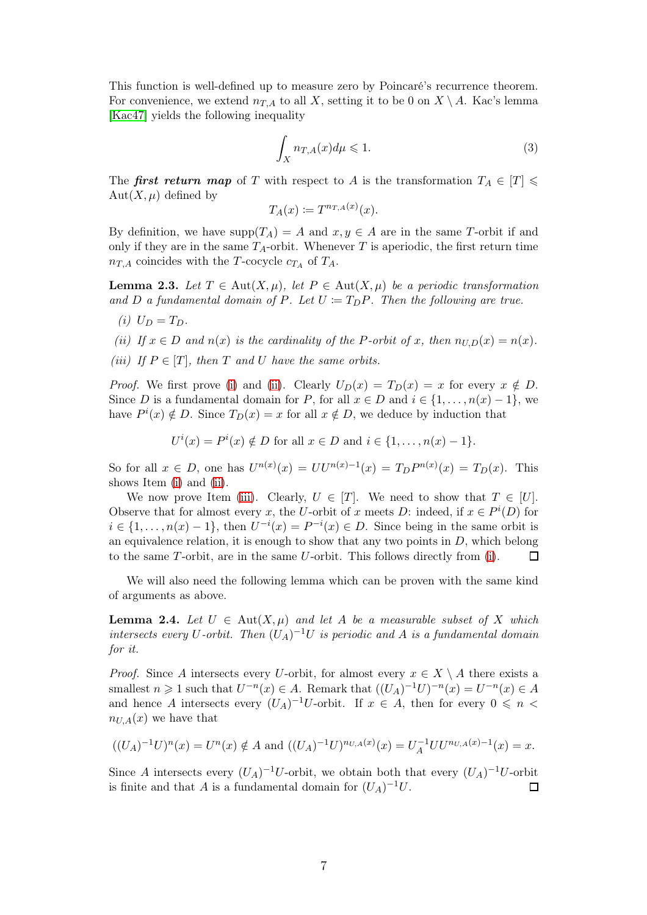This function is well-defined up to measure zero by Poincaré's recurrence theorem. For convenience, we extend  $n_{T,A}$  to all X, setting it to be 0 on  $X \setminus A$ . Kac's lemma [\[Kac47\]](#page-32-10) yields the following inequality

<span id="page-6-3"></span>
$$
\int_{X} n_{T,A}(x)d\mu \leqslant 1. \tag{3}
$$

The first return map of T with respect to A is the transformation  $T_A \in [T] \leq$  $Aut(X, \mu)$  defined by

$$
T_A(x) \coloneqq T^{n_{T,A}(x)}(x).
$$

By definition, we have  $supp(T_A) = A$  and  $x, y \in A$  are in the same T-orbit if and only if they are in the same  $T_A$ -orbit. Whenever T is aperiodic, the first return time  $n_{T,A}$  coincides with the T-cocycle  $c_{T_A}$  of  $T_A$ .

<span id="page-6-4"></span><span id="page-6-0"></span>**Lemma 2.3.** Let  $T \in \text{Aut}(X, \mu)$ , let  $P \in \text{Aut}(X, \mu)$  be a periodic transformation and D a fundamental domain of P. Let  $U := T_D P$ . Then the following are true.

(i)  $U_D = T_D$ .

<span id="page-6-2"></span><span id="page-6-1"></span>(ii) If  $x \in D$  and  $n(x)$  is the cardinality of the P-orbit of x, then  $n_{U,D}(x) = n(x)$ .

(iii) If  $P \in [T]$ , then T and U have the same orbits.

*Proof.* We first prove [\(i\)](#page-6-0) and [\(ii\)](#page-6-1). Clearly  $U_D(x) = T_D(x) = x$  for every  $x \notin D$ . Since D is a fundamental domain for P, for all  $x \in D$  and  $i \in \{1, \ldots, n(x) - 1\}$ , we have  $P^{i}(x) \notin D$ . Since  $T_{D}(x) = x$  for all  $x \notin D$ , we deduce by induction that

$$
U^{i}(x) = P^{i}(x) \notin D
$$
 for all  $x \in D$  and  $i \in \{1, ..., n(x) - 1\}.$ 

So for all  $x \in D$ , one has  $U^{n(x)}(x) = U U^{n(x)-1}(x) = T_D P^{n(x)}(x) = T_D(x)$ . This shows Item [\(i\)](#page-6-0) and [\(ii\)](#page-6-1).

We now prove Item [\(iii\)](#page-6-2). Clearly,  $U \in [T]$ . We need to show that  $T \in [U]$ . Observe that for almost every x, the U-orbit of x meets D: indeed, if  $x \in P^{i}(D)$  for  $i \in \{1, \ldots, n(x) - 1\}$ , then  $U^{-i}(x) = P^{-i}(x) \in D$ . Since being in the same orbit is an equivalence relation, it is enough to show that any two points in  $D$ , which belong to the same T-orbit, are in the same U-orbit. This follows directly from [\(i\)](#page-6-0).  $\Box$ 

We will also need the following lemma which can be proven with the same kind of arguments as above.

<span id="page-6-5"></span>**Lemma 2.4.** Let  $U \in Aut(X, \mu)$  and let A be a measurable subset of X which intersects every U-orbit. Then  $(U_A)^{-1}U$  is periodic and A is a fundamental domain for it.

*Proof.* Since A intersects every U-orbit, for almost every  $x \in X \setminus A$  there exists a smallest  $n \geq 1$  such that  $U^{-n}(x) \in A$ . Remark that  $((U_A)^{-1}U)^{-n}(x) = U^{-n}(x) \in A$ and hence A intersects every  $(U_A)^{-1}U$ -orbit. If  $x \in A$ , then for every  $0 \leq n <$  $n_{U,A}(x)$  we have that

$$
((U_A)^{-1}U)^n(x) = U^n(x) \notin A
$$
 and  $((U_A)^{-1}U)^{n_{U,A}(x)}(x) = U_A^{-1}UU^{n_{U,A}(x)-1}(x) = x.$ 

Since A intersects every  $(U_A)^{-1}U$ -orbit, we obtain both that every  $(U_A)^{-1}U$ -orbit is finite and that A is a fundamental domain for  $(U_A)^{-1}U$ .  $\Box$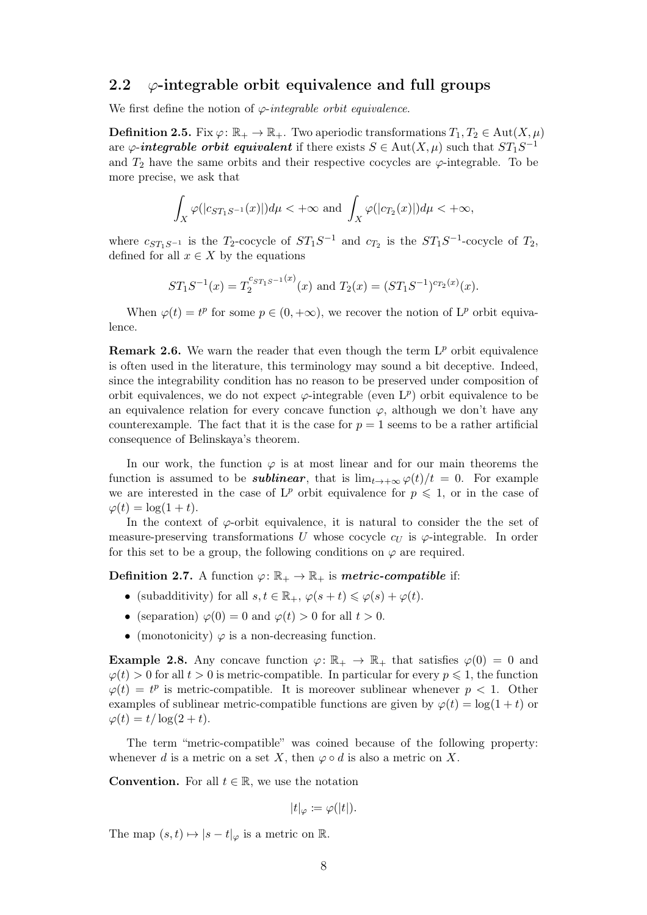#### <span id="page-7-0"></span>2.2  $\varphi$ -integrable orbit equivalence and full groups

We first define the notion of  $\varphi$ -integrable orbit equivalence.

**Definition 2.5.** Fix  $\varphi: \mathbb{R}_+ \to \mathbb{R}_+$ . Two aperiodic transformations  $T_1, T_2 \in \text{Aut}(X, \mu)$ are  $\varphi$ -integrable orbit equivalent if there exists  $S \in Aut(X, \mu)$  such that  $ST_1S^{-1}$ and  $T_2$  have the same orbits and their respective cocycles are  $\varphi$ -integrable. To be more precise, we ask that

$$
\int_X \varphi(|c_{ST_1S^{-1}}(x)|)d\mu < +\infty \text{ and } \int_X \varphi(|c_{T_2}(x)|)d\mu < +\infty,
$$

where  $c_{ST_1S^{-1}}$  is the  $T_2$ -cocycle of  $ST_1S^{-1}$  and  $c_{T_2}$  is the  $ST_1S^{-1}$ -cocycle of  $T_2$ , defined for all  $x \in X$  by the equations

$$
ST_1S^{-1}(x) = T_2^{c_{ST_1S^{-1}}(x)}(x) \text{ and } T_2(x) = (ST_1S^{-1})^{c_{T_2}(x)}(x).
$$

When  $\varphi(t) = t^p$  for some  $p \in (0, +\infty)$ , we recover the notion of  $L^p$  orbit equivalence.

<span id="page-7-1"></span>**Remark 2.6.** We warn the reader that even though the term  $L^p$  orbit equivalence is often used in the literature, this terminology may sound a bit deceptive. Indeed, since the integrability condition has no reason to be preserved under composition of orbit equivalences, we do not expect  $\varphi$ -integrable (even  $L^p$ ) orbit equivalence to be an equivalence relation for every concave function  $\varphi$ , although we don't have any counterexample. The fact that it is the case for  $p = 1$  seems to be a rather artificial consequence of Belinskaya's theorem.

In our work, the function  $\varphi$  is at most linear and for our main theorems the function is assumed to be *sublinear*, that is  $\lim_{t\to+\infty} \varphi(t)/t = 0$ . For example we are interested in the case of  $L^p$  orbit equivalence for  $p \leq 1$ , or in the case of  $\varphi(t) = \log(1+t).$ 

In the context of  $\varphi$ -orbit equivalence, it is natural to consider the the set of measure-preserving transformations U whose cocycle  $c_U$  is  $\varphi$ -integrable. In order for this set to be a group, the following conditions on  $\varphi$  are required.

**Definition 2.7.** A function  $\varphi: \mathbb{R}_+ \to \mathbb{R}_+$  is **metric-compatible** if:

- (subadditivity) for all  $s, t \in \mathbb{R}_+, \varphi(s+t) \leq \varphi(s) + \varphi(t)$ .
- (separation)  $\varphi(0) = 0$  and  $\varphi(t) > 0$  for all  $t > 0$ .
- (monotonicity)  $\varphi$  is a non-decreasing function.

**Example 2.8.** Any concave function  $\varphi: \mathbb{R}_+ \to \mathbb{R}_+$  that satisfies  $\varphi(0) = 0$  and  $\varphi(t) > 0$  for all  $t > 0$  is metric-compatible. In particular for every  $p \leq 1$ , the function  $\varphi(t) = t^p$  is metric-compatible. It is moreover sublinear whenever  $p < 1$ . Other examples of sublinear metric-compatible functions are given by  $\varphi(t) = \log(1+t)$  or  $\varphi(t) = t/\log(2+t).$ 

The term "metric-compatible" was coined because of the following property: whenever d is a metric on a set X, then  $\varphi \circ d$  is also a metric on X.

**Convention.** For all  $t \in \mathbb{R}$ , we use the notation

$$
|t|_{\varphi} \coloneqq \varphi(|t|).
$$

The map  $(s, t) \mapsto |s - t|_{\varphi}$  is a metric on R.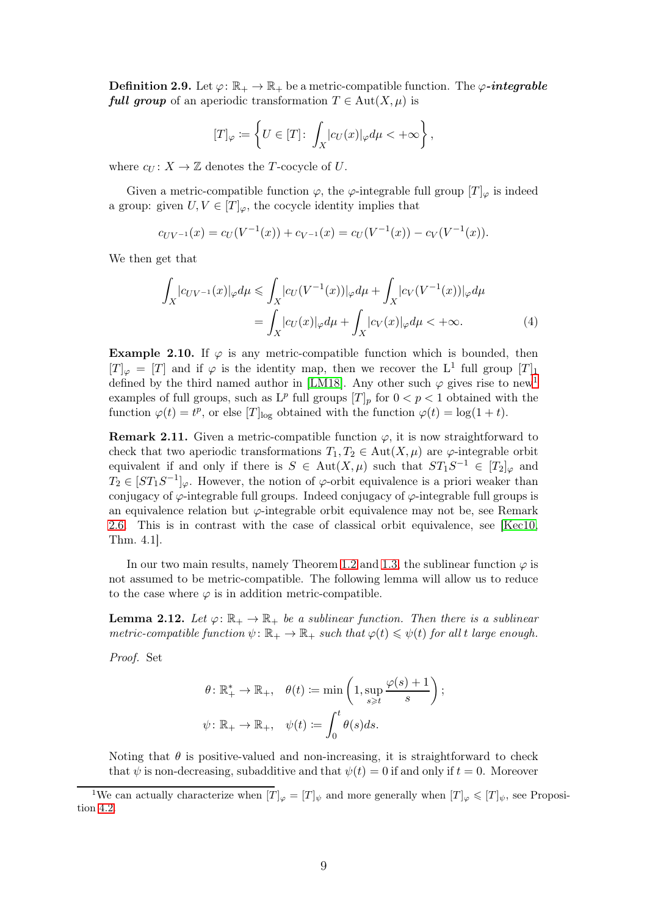**Definition 2.9.** Let  $\varphi: \mathbb{R}_+ \to \mathbb{R}_+$  be a metric-compatible function. The  $\varphi$ -integrable **full group** of an aperiodic transformation  $T \in \text{Aut}(X, \mu)$  is

$$
[T]_{\varphi} := \left\{ U \in [T] \colon \int_X |c_U(x)|_{\varphi} d\mu < +\infty \right\},\,
$$

where  $c_U : X \to \mathbb{Z}$  denotes the T-cocycle of U.

Given a metric-compatible function  $\varphi$ , the  $\varphi$ -integrable full group  $[T]_{\varphi}$  is indeed a group: given  $U, V \in [T]_{\varphi}$ , the cocycle identity implies that

 $c_{UV^{-1}}(x) = c_U(V^{-1}(x)) + c_{V^{-1}}(x) = c_U(V^{-1}(x)) - c_V(V^{-1}(x)).$ 

We then get that

$$
\int_{X} |c_{UV^{-1}}(x)|_{\varphi} d\mu \le \int_{X} |c_{U}(V^{-1}(x))|_{\varphi} d\mu + \int_{X} |c_{V}(V^{-1}(x))|_{\varphi} d\mu
$$
\n
$$
= \int_{X} |c_{U}(x)|_{\varphi} d\mu + \int_{X} |c_{V}(x)|_{\varphi} d\mu < +\infty.
$$
\n(4)

Example 2.10. If  $\varphi$  is any metric-compatible function which is bounded, then  $[T]_{\varphi} = [T]$  and if  $\varphi$  is the identity map, then we recover the L<sup>1</sup> full group  $[T]_1$ defined by the third named author in [\[LM18\]](#page-33-2). Any other such  $\varphi$  gives rise to new<sup>[1](#page-8-1)</sup> examples of full groups, such as  $L^p$  full groups  $[T]_p$  for  $0 < p < 1$  obtained with the function  $\varphi(t) = t^p$ , or else  $[T]_{\text{log}}$  obtained with the function  $\varphi(t) = \log(1 + t)$ .

**Remark 2.11.** Given a metric-compatible function  $\varphi$ , it is now straightforward to check that two aperiodic transformations  $T_1, T_2 \in \text{Aut}(X, \mu)$  are  $\varphi$ -integrable orbit equivalent if and only if there is  $S \in Aut(X, \mu)$  such that  $ST_1S^{-1} \in [T_2]_{\varphi}$  and  $T_2 \in [ST_1S^{-1}]_{\varphi}$ . However, the notion of  $\varphi$ -orbit equivalence is a priori weaker than conjugacy of  $\varphi$ -integrable full groups. Indeed conjugacy of  $\varphi$ -integrable full groups is an equivalence relation but  $\varphi$ -integrable orbit equivalence may not be, see Remark [2.6.](#page-7-1) This is in contrast with the case of classical orbit equivalence, see [\[Kec10,](#page-32-11) Thm. 4.1].

In our two main results, namely Theorem [1.2](#page-2-0) and [1.3,](#page-2-1) the sublinear function  $\varphi$  is not assumed to be metric-compatible. The following lemma will allow us to reduce to the case where  $\varphi$  is in addition metric-compatible.

<span id="page-8-0"></span>**Lemma 2.12.** Let  $\varphi: \mathbb{R}_+ \to \mathbb{R}_+$  be a sublinear function. Then there is a sublinear metric-compatible function  $\psi: \mathbb{R}_+ \to \mathbb{R}_+$  such that  $\varphi(t) \leq \psi(t)$  for all t large enough.

Proof. Set

$$
\begin{aligned} &\theta\colon \mathbb{R}_+^*\to\mathbb{R}_+,\quad \theta(t)\coloneqq\min\left(1,\sup_{s\geqslant t}\frac{\varphi(s)+1}{s}\right);\\ &\psi\colon \mathbb{R}_+\to\mathbb{R}_+,\quad \psi(t)\coloneqq\int_0^t\theta(s)ds. \end{aligned}
$$

Noting that  $\theta$  is positive-valued and non-increasing, it is straightforward to check that  $\psi$  is non-decreasing, subadditive and that  $\psi(t) = 0$  if and only if  $t = 0$ . Moreover

<span id="page-8-1"></span><sup>&</sup>lt;sup>1</sup>We can actually characterize when  $[T]_{\varphi} = [T]_{\psi}$  and more generally when  $[T]_{\varphi} \leq [T]_{\psi}$ , see Proposition [4.2.](#page-20-0)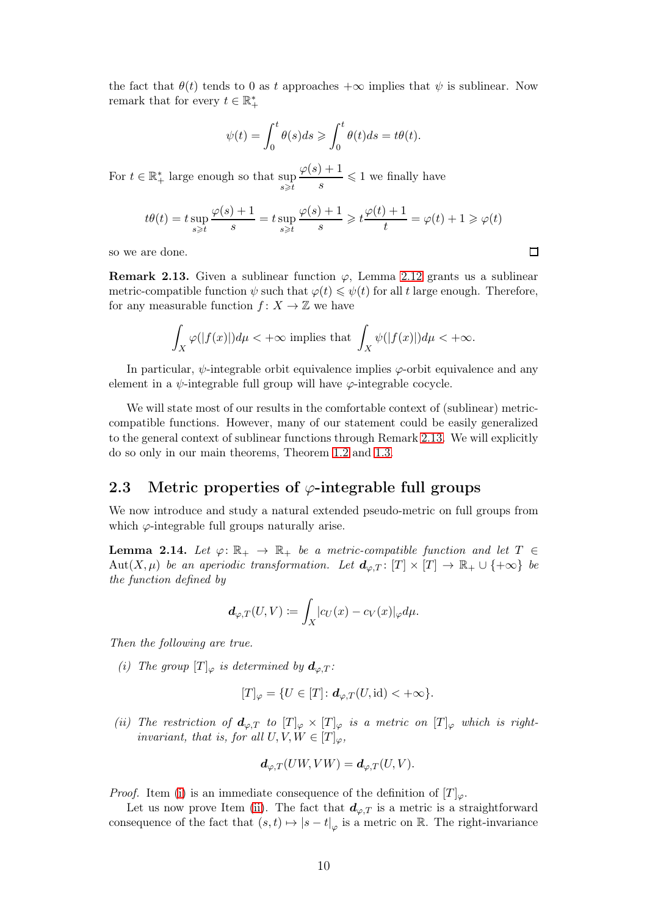the fact that  $\theta(t)$  tends to 0 as t approaches  $+\infty$  implies that  $\psi$  is sublinear. Now remark that for every  $t \in \mathbb{R}_+^*$ 

$$
\psi(t) = \int_0^t \theta(s)ds \ge \int_0^t \theta(t)ds = t\theta(t).
$$

For  $t \in \mathbb{R}_+^*$  large enough so that sup  $s \geq t$  $\varphi(s)+1$  $\frac{f+1}{s} \leq 1$  we finally have

$$
t\theta(t) = t \sup_{s \geqslant t} \frac{\varphi(s) + 1}{s} = t \sup_{s \geqslant t} \frac{\varphi(s) + 1}{s} \geqslant t \frac{\varphi(t) + 1}{t} = \varphi(t) + 1 \geqslant \varphi(t)
$$

so we are done.

<span id="page-9-2"></span>**Remark 2.13.** Given a sublinear function  $\varphi$ , Lemma [2.12](#page-8-0) grants us a sublinear metric-compatible function  $\psi$  such that  $\varphi(t) \leq \psi(t)$  for all t large enough. Therefore, for any measurable function  $f: X \to \mathbb{Z}$  we have

$$
\int_X \varphi(|f(x)|)d\mu < +\infty \text{ implies that } \int_X \psi(|f(x)|)d\mu < +\infty.
$$

In particular,  $\psi$ -integrable orbit equivalence implies  $\varphi$ -orbit equivalence and any element in a  $\psi$ -integrable full group will have  $\varphi$ -integrable cocycle.

We will state most of our results in the comfortable context of (sublinear) metriccompatible functions. However, many of our statement could be easily generalized to the general context of sublinear functions through Remark [2.13.](#page-9-2) We will explicitly do so only in our main theorems, Theorem [1.2](#page-2-0) and [1.3.](#page-2-1)

#### <span id="page-9-0"></span>2.3 Metric properties of  $\varphi$ -integrable full groups

We now introduce and study a natural extended pseudo-metric on full groups from which  $\varphi$ -integrable full groups naturally arise.

<span id="page-9-1"></span>**Lemma 2.14.** Let  $\varphi: \mathbb{R}_+ \to \mathbb{R}_+$  be a metric-compatible function and let  $T \in$ Aut $(X,\mu)$  be an aperiodic transformation. Let  $d_{\varphi,T} : [T] \times [T] \to \mathbb{R}_+ \cup \{+\infty\}$  be the function defined by

$$
\boldsymbol{d}_{\varphi,T}(U,V)\coloneqq \int_X\!c_U(x)-c_V(x)|_\varphi d\mu.
$$

<span id="page-9-3"></span>Then the following are true.

(i) The group  $[T]_{\varphi}$  is determined by  $d_{\varphi,T}$ :

$$
[T]_{\varphi} = \{ U \in [T] \colon \mathbf{d}_{\varphi,T}(U,\mathrm{id}) < +\infty \}.
$$

<span id="page-9-4"></span>(ii) The restriction of  $d_{\varphi,T}$  to  $[T]_{\varphi} \times [T]_{\varphi}$  is a metric on  $[T]_{\varphi}$  which is rightinvariant, that is, for all  $U, V, W \in [T]_{\varphi}$ ,

$$
\mathbf{d}_{\varphi,T}(UW, VW) = \mathbf{d}_{\varphi,T}(U, V).
$$

*Proof.* Item [\(i\)](#page-9-3) is an immediate consequence of the definition of  $[T]_{\varphi}$ .

Let us now prove Item [\(ii\)](#page-9-4). The fact that  $d_{\varphi,T}$  is a metric is a straightforward consequence of the fact that  $(s,t) \mapsto |s-t|_{\varphi}$  is a metric on R. The right-invariance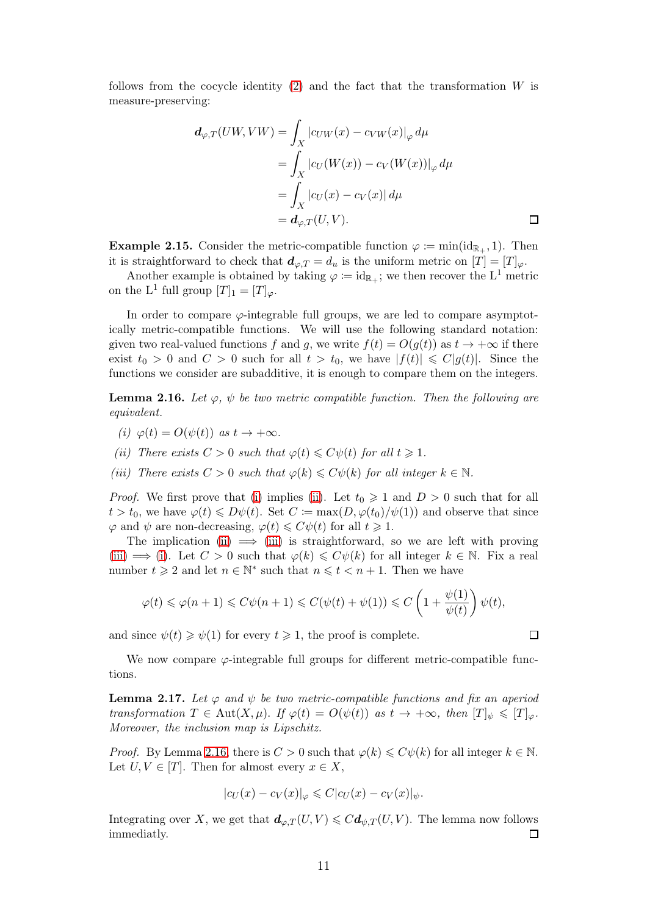follows from the cocycle identity  $(2)$  and the fact that the transformation W is measure-preserving:

$$
d_{\varphi,T}(UW, VW) = \int_X |c_{UW}(x) - c_{VW}(x)|_{\varphi} d\mu
$$
  
= 
$$
\int_X |c_{U}(W(x)) - c_{V}(W(x))|_{\varphi} d\mu
$$
  
= 
$$
\int_X |c_{U}(x) - c_{V}(x)| d\mu
$$
  
= 
$$
d_{\varphi,T}(U, V).
$$

**Example 2.15.** Consider the metric-compatible function  $\varphi := \min(\text{id}_{\mathbb{R}_+}, 1)$ . Then it is straightforward to check that  $d_{\varphi,T} = d_u$  is the uniform metric on  $[T] = [T]_{\varphi}$ .

Another example is obtained by taking  $\varphi := id_{\mathbb{R}_+}$ ; we then recover the L<sup>1</sup> metric on the L<sup>1</sup> full group  $[T]_1 = [T]_{\varphi}$ .

In order to compare  $\varphi$ -integrable full groups, we are led to compare asymptotically metric-compatible functions. We will use the following standard notation: given two real-valued functions f and g, we write  $f(t) = O(q(t))$  as  $t \to +\infty$  if there exist  $t_0 > 0$  and  $C > 0$  such for all  $t > t_0$ , we have  $|f(t)| \leq C|g(t)|$ . Since the functions we consider are subadditive, it is enough to compare them on the integers.

<span id="page-10-3"></span><span id="page-10-0"></span>**Lemma 2.16.** Let  $\varphi$ ,  $\psi$  be two metric compatible function. Then the following are equivalent.

- <span id="page-10-1"></span>(i)  $\varphi(t) = O(\psi(t))$  as  $t \to +\infty$ .
- <span id="page-10-2"></span>(ii) There exists  $C > 0$  such that  $\varphi(t) \leq C\psi(t)$  for all  $t \geq 1$ .
- (iii) There exists  $C > 0$  such that  $\varphi(k) \leq C\psi(k)$  for all integer  $k \in \mathbb{N}$ .

*Proof.* We first prove that [\(i\)](#page-10-0) implies [\(ii\)](#page-10-1). Let  $t_0 \geq 1$  and  $D > 0$  such that for all  $t > t_0$ , we have  $\varphi(t) \leq D\psi(t)$ . Set  $C := \max(D, \varphi(t_0)/\psi(1))$  and observe that since  $\varphi$  and  $\psi$  are non-decreasing,  $\varphi(t) \leq C\psi(t)$  for all  $t \geq 1$ .

The implication [\(ii\)](#page-10-1)  $\implies$  [\(iii\)](#page-10-2) is straightforward, so we are left with proving [\(iii\)](#page-10-2)  $\implies$  [\(i\)](#page-10-0). Let  $C > 0$  such that  $\varphi(k) \leq C\psi(k)$  for all integer  $k \in \mathbb{N}$ . Fix a real number  $t \geq 2$  and let  $n \in \mathbb{N}^*$  such that  $n \leq t < n+1$ . Then we have

$$
\varphi(t) \leqslant \varphi(n+1) \leqslant C \psi(n+1) \leqslant C (\psi(t)+\psi(1)) \leqslant C \left(1+\frac{\psi(1)}{\psi(t)}\right) \psi(t),
$$

and since  $\psi(t) \geq \psi(1)$  for every  $t \geq 1$ , the proof is complete.

We now compare  $\varphi$ -integrable full groups for different metric-compatible functions.

<span id="page-10-4"></span>**Lemma 2.17.** Let  $\varphi$  and  $\psi$  be two metric-compatible functions and fix an aperiod transformation  $T \in Aut(X, \mu)$ . If  $\varphi(t) = O(\psi(t))$  as  $t \to +\infty$ , then  $[T]_{\psi} \leq T|_{\varphi}$ . Moreover, the inclusion map is Lipschitz.

*Proof.* By Lemma [2.16,](#page-10-3) there is  $C > 0$  such that  $\varphi(k) \leq C\psi(k)$  for all integer  $k \in \mathbb{N}$ . Let  $U, V \in [T]$ . Then for almost every  $x \in X$ ,

$$
|c_U(x) - c_V(x)|_{\varphi} \leqslant C|c_U(x) - c_V(x)|_{\psi}.
$$

Integrating over X, we get that  $d_{\varphi,T}(U,V) \leqslant C d_{\psi,T}(U,V)$ . The lemma now follows immediatly.  $\Box$ 

 $\Box$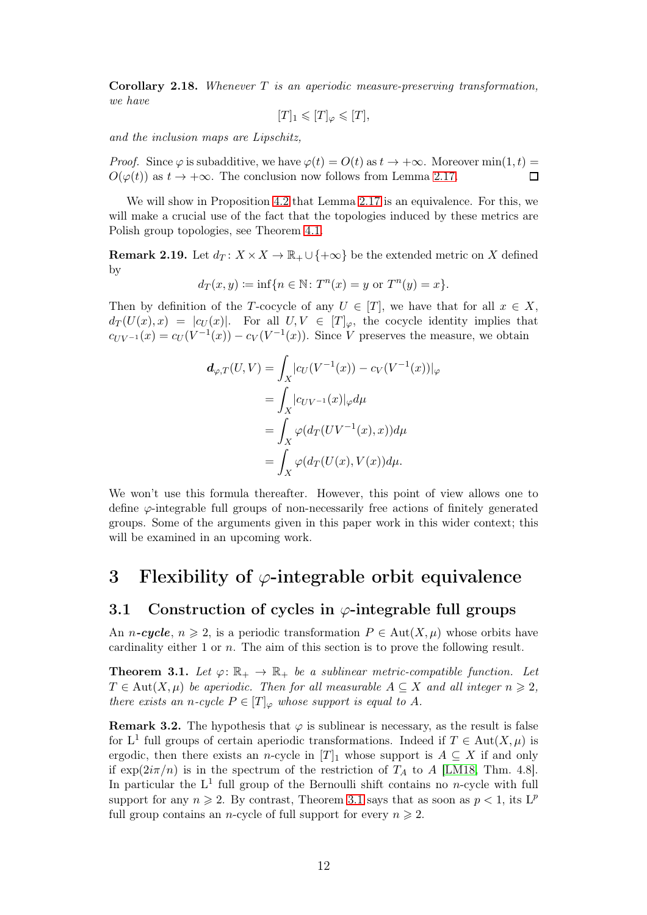<span id="page-11-3"></span>Corollary 2.18. Whenever T is an aperiodic measure-preserving transformation, we have

$$
[T]_1 \leqslant [T]_{\varphi} \leqslant [T],
$$

and the inclusion maps are Lipschitz,

*Proof.* Since  $\varphi$  is subadditive, we have  $\varphi(t) = O(t)$  as  $t \to +\infty$ . Moreover min $(1, t)$  =  $O(\varphi(t))$  as  $t \to +\infty$ . The conclusion now follows from Lemma [2.17.](#page-10-4)  $\Box$ 

We will show in Proposition [4.2](#page-20-0) that Lemma [2.17](#page-10-4) is an equivalence. For this, we will make a crucial use of the fact that the topologies induced by these metrics are Polish group topologies, see Theorem [4.1.](#page-19-1)

**Remark 2.19.** Let  $d_T: X \times X \to \mathbb{R}_+ \cup \{+\infty\}$  be the extended metric on X defined by

$$
d_T(x, y) := \inf\{n \in \mathbb{N} : T^n(x) = y \text{ or } T^n(y) = x\}.
$$

Then by definition of the T-cocycle of any  $U \in [T]$ , we have that for all  $x \in X$ ,  $d_T(U(x),x) = |c_U(x)|$ . For all  $U, V \in [T]_{\varphi}$ , the cocycle identity implies that  $c_{UV^{-1}}(x) = c_V(V^{-1}(x)) - c_V(V^{-1}(x))$ . Since V preserves the measure, we obtain

$$
d_{\varphi,T}(U,V) = \int_X |c_U(V^{-1}(x)) - c_V(V^{-1}(x))|_{\varphi}
$$
  
= 
$$
\int_X |c_{UV^{-1}}(x)|_{\varphi} d\mu
$$
  
= 
$$
\int_X \varphi(d_T(UV^{-1}(x),x)) d\mu
$$
  
= 
$$
\int_X \varphi(d_T(U(x),V(x)) d\mu.
$$

We won't use this formula thereafter. However, this point of view allows one to define  $\varphi$ -integrable full groups of non-necessarily free actions of finitely generated groups. Some of the arguments given in this paper work in this wider context; this will be examined in an upcoming work.

# <span id="page-11-0"></span>3 Flexibility of  $\varphi$ -integrable orbit equivalence

#### <span id="page-11-1"></span>3.1 Construction of cycles in  $\varphi$ -integrable full groups

An *n*-cycle,  $n \geq 2$ , is a periodic transformation  $P \in Aut(X, \mu)$  whose orbits have cardinality either 1 or n. The aim of this section is to prove the following result.

<span id="page-11-2"></span>**Theorem 3.1.** Let  $\varphi: \mathbb{R}_+ \to \mathbb{R}_+$  be a sublinear metric-compatible function. Let  $T \in \text{Aut}(X, \mu)$  be aperiodic. Then for all measurable  $A \subseteq X$  and all integer  $n \geq 2$ , there exists an n-cycle  $P \in [T]_{\varphi}$  whose support is equal to A.

**Remark 3.2.** The hypothesis that  $\varphi$  is sublinear is necessary, as the result is false for L<sup>1</sup> full groups of certain aperiodic transformations. Indeed if  $T \in Aut(X, \mu)$  is ergodic, then there exists an n-cycle in  $[T]_1$  whose support is  $A \subseteq X$  if and only if  $\exp(2i\pi/n)$  is in the spectrum of the restriction of  $T_A$  to A [\[LM18,](#page-33-2) Thm. 4.8]. In particular the  $L^1$  full group of the Bernoulli shift contains no *n*-cycle with full support for any  $n \ge 2$ . By contrast, Theorem [3.1](#page-11-2) says that as soon as  $p < 1$ , its L<sup>p</sup> full group contains an *n*-cycle of full support for every  $n \ge 2$ .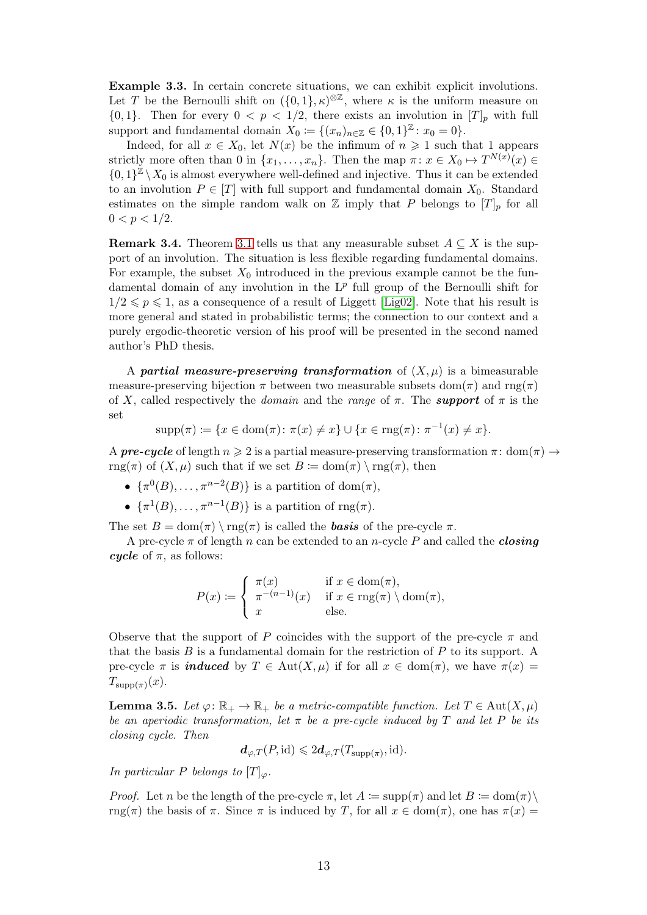<span id="page-12-0"></span>Example 3.3. In certain concrete situations, we can exhibit explicit involutions. Let T be the Bernoulli shift on  $(\{0,1\},\kappa)^{\otimes\mathbb{Z}}$ , where  $\kappa$  is the uniform measure on  ${0, 1}$ . Then for every  $0 < p < 1/2$ , there exists an involution in  $[T]_p$  with full support and fundamental domain  $X_0 \coloneqq \{(x_n)_{n \in \mathbb{Z}} \in \{0,1\}^{\mathbb{Z}} : x_0 = 0\}.$ 

Indeed, for all  $x \in X_0$ , let  $N(x)$  be the infimum of  $n \geq 1$  such that 1 appears strictly more often than 0 in  $\{x_1, \ldots, x_n\}$ . Then the map  $\pi \colon x \in X_0 \mapsto T^{N(x)}(x) \in$  $\{0,1\}^{\mathbb{Z}} \setminus X_0$  is almost everywhere well-defined and injective. Thus it can be extended to an involution  $P \in [T]$  with full support and fundamental domain  $X_0$ . Standard estimates on the simple random walk on  $\mathbb Z$  imply that P belongs to  $[T]_p$  for all  $0 < p < 1/2$ .

**Remark 3.4.** Theorem [3.1](#page-11-2) tells us that any measurable subset  $A \subseteq X$  is the support of an involution. The situation is less flexible regarding fundamental domains. For example, the subset  $X_0$  introduced in the previous example cannot be the fundamental domain of any involution in the  $L^p$  full group of the Bernoulli shift for  $1/2 \leqslant p \leqslant 1$ , as a consequence of a result of Liggett [\[Lig02\]](#page-32-12). Note that his result is more general and stated in probabilistic terms; the connection to our context and a purely ergodic-theoretic version of his proof will be presented in the second named author's PhD thesis.

A partial measure-preserving transformation of  $(X, \mu)$  is a bimeasurable measure-preserving bijection  $\pi$  between two measurable subsets dom( $\pi$ ) and rng( $\pi$ ) of X, called respectively the *domain* and the range of  $\pi$ . The **support** of  $\pi$  is the set

$$
supp(\pi) := \{ x \in dom(\pi) \colon \pi(x) \neq x \} \cup \{ x \in rng(\pi) \colon \pi^{-1}(x) \neq x \}.
$$

A **pre-cycle** of length  $n \geq 2$  is a partial measure-preserving transformation  $\pi$ : dom $(\pi) \rightarrow$ rng(π) of  $(X, \mu)$  such that if we set  $B \coloneqq \text{dom}(\pi) \setminus \text{rng}(\pi)$ , then

- $\{\pi^0(B), \ldots, \pi^{n-2}(B)\}\$ is a partition of dom $(\pi),$
- $\{\pi^1(B), \ldots, \pi^{n-1}(B)\}\$ is a partition of rng $(\pi)$ .

The set  $B = \text{dom}(\pi) \setminus \text{rng}(\pi)$  is called the **basis** of the pre-cycle  $\pi$ .

A pre-cycle  $\pi$  of length n can be extended to an n-cycle P and called the *closing* cycle of  $\pi$ , as follows:

$$
P(x) := \begin{cases} \pi(x) & \text{if } x \in \text{dom}(\pi), \\ \pi^{-(n-1)}(x) & \text{if } x \in \text{rng}(\pi) \setminus \text{dom}(\pi), \\ x & \text{else.} \end{cases}
$$

Observe that the support of P coincides with the support of the pre-cycle  $\pi$  and that the basis  $B$  is a fundamental domain for the restriction of  $P$  to its support. A pre-cycle  $\pi$  is **induced** by  $T \in Aut(X, \mu)$  if for all  $x \in dom(\pi)$ , we have  $\pi(x) =$  $T_{\text{supp}(\pi)}(x)$ .

<span id="page-12-1"></span>**Lemma 3.5.** Let  $\varphi: \mathbb{R}_+ \to \mathbb{R}_+$  be a metric-compatible function. Let  $T \in \text{Aut}(X, \mu)$ be an aperiodic transformation, let  $\pi$  be a pre-cycle induced by T and let P be its closing cycle. Then

$$
\mathbf{d}_{\varphi,T}(P,\mathrm{id}) \leqslant 2\mathbf{d}_{\varphi,T}(T_{\mathrm{supp}(\pi)},\mathrm{id}).
$$

In particular P belongs to  $[T]_{\varphi}$ .

*Proof.* Let n be the length of the pre-cycle  $\pi$ , let  $A := \text{supp}(\pi)$  and let  $B := \text{dom}(\pi) \setminus$ rng(π) the basis of  $\pi$ . Since  $\pi$  is induced by T, for all  $x \in \text{dom}(\pi)$ , one has  $\pi(x) =$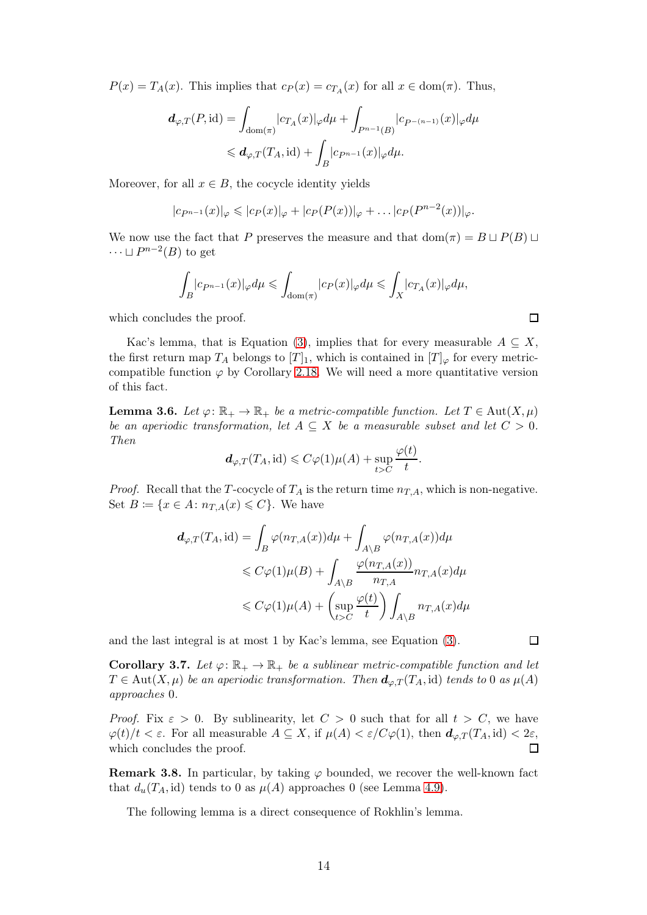$P(x) = T_A(x)$ . This implies that  $c_P(x) = c_{T_A}(x)$  for all  $x \in \text{dom}(\pi)$ . Thus,

$$
d_{\varphi,T}(P,\mathrm{id}) = \int_{\mathrm{dom}(\pi)} |c_{T_A}(x)|_{\varphi} d\mu + \int_{P^{n-1}(B)} |c_{P^{-(n-1)}}(x)|_{\varphi} d\mu
$$
  
\$\leqslant d\_{\varphi,T}(T\_A,\mathrm{id}) + \int\_B |c\_{P^{n-1}}(x)|\_{\varphi} d\mu\$.

Moreover, for all  $x \in B$ , the cocycle identity yields

$$
|c_{P^{n-1}}(x)|_{\varphi} \leqslant |c_{P}(x)|_{\varphi} + |c_{P}(P(x))|_{\varphi} + \ldots + |c_{P}(P^{n-2}(x))|_{\varphi}.
$$

We now use the fact that P preserves the measure and that  $\text{dom}(\pi) = B \sqcup P(B) \sqcup$  $\cdots \sqcup P^{n-2}(B)$  to get

$$
\int_{B} |c_{P^{n-1}}(x)|_{\varphi} d\mu \leq \int_{\text{dom}(\pi)} |c_{P}(x)|_{\varphi} d\mu \leq \int_{X} |c_{T_A}(x)|_{\varphi} d\mu,
$$

which concludes the proof.

Kac's lemma, that is Equation [\(3\)](#page-6-3), implies that for every measurable  $A \subseteq X$ , the first return map  $T_A$  belongs to  $[T]_1$ , which is contained in  $[T]_{\varphi}$  for every metriccompatible function  $\varphi$  by Corollary [2.18.](#page-11-3) We will need a more quantitative version of this fact.

<span id="page-13-0"></span>**Lemma 3.6.** Let  $\varphi: \mathbb{R}_+ \to \mathbb{R}_+$  be a metric-compatible function. Let  $T \in \text{Aut}(X, \mu)$ be an aperiodic transformation, let  $A \subseteq X$  be a measurable subset and let  $C > 0$ . Then

$$
d_{\varphi,T}(T_A, \text{id}) \leqslant C\varphi(1)\mu(A) + \sup_{t>C} \frac{\varphi(t)}{t}.
$$

*Proof.* Recall that the T-cocycle of  $T_A$  is the return time  $n_{T,A}$ , which is non-negative. Set  $B \coloneqq \{x \in A : n_{T,A}(x) \leq C\}$ . We have

$$
d_{\varphi,T}(T_A, id) = \int_B \varphi(n_{T,A}(x))d\mu + \int_{A \backslash B} \varphi(n_{T,A}(x))d\mu
$$
  

$$
\leq C\varphi(1)\mu(B) + \int_{A \backslash B} \frac{\varphi(n_{T,A}(x))}{n_{T,A}} n_{T,A}(x)d\mu
$$
  

$$
\leq C\varphi(1)\mu(A) + \left(\sup_{t > C} \frac{\varphi(t)}{t}\right) \int_{A \backslash B} n_{T,A}(x)d\mu
$$

and the last integral is at most 1 by Kac's lemma, see Equation [\(3\)](#page-6-3).

 $\Box$ 

 $\Box$ 

<span id="page-13-1"></span>**Corollary 3.7.** Let  $\varphi: \mathbb{R}_+ \to \mathbb{R}_+$  be a sublinear metric-compatible function and let  $T \in \text{Aut}(X, \mu)$  be an aperiodic transformation. Then  $d_{\varphi,T}(T_A, \text{id})$  tends to 0 as  $\mu(A)$ approaches 0.

*Proof.* Fix  $\varepsilon > 0$ . By sublinearity, let  $C > 0$  such that for all  $t > C$ , we have  $\varphi(t)/t < \varepsilon$ . For all measurable  $A \subseteq X$ , if  $\mu(A) < \varepsilon/C\varphi(1)$ , then  $d_{\varphi,T}(T_A, id) < 2\varepsilon$ , which concludes the proof. П

**Remark 3.8.** In particular, by taking  $\varphi$  bounded, we recover the well-known fact that  $d_u(T_A, id)$  tends to 0 as  $\mu(A)$  approaches 0 (see Lemma [4.9\)](#page-24-0).

The following lemma is a direct consequence of Rokhlin's lemma.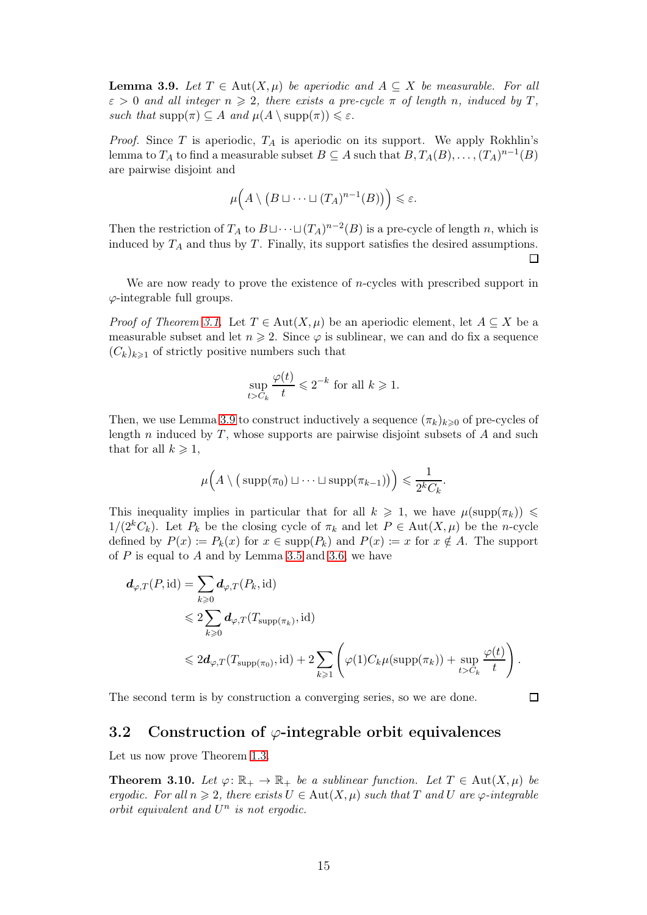<span id="page-14-1"></span>**Lemma 3.9.** Let  $T \in Aut(X, \mu)$  be aperiodic and  $A \subseteq X$  be measurable. For all  $\varepsilon > 0$  and all integer  $n \geq 2$ , there exists a pre-cycle  $\pi$  of length n, induced by T, such that  $\text{supp}(\pi) \subseteq A$  and  $\mu(A \setminus \text{supp}(\pi)) \leq \varepsilon$ .

*Proof.* Since T is aperiodic,  $T_A$  is aperiodic on its support. We apply Rokhlin's lemma to  $T_A$  to find a measurable subset  $B \subseteq A$  such that  $B, T_A(B), \ldots, (T_A)^{n-1}(B)$ are pairwise disjoint and

$$
\mu\Big(A\setminus (B\sqcup\cdots\sqcup (T_A)^{n-1}(B)\big)\Big)\leqslant \varepsilon.
$$

Then the restriction of  $T_A$  to  $B \sqcup \cdots \sqcup (T_A)^{n-2}(B)$  is a pre-cycle of length n, which is induced by  $T_A$  and thus by  $T$ . Finally, its support satisfies the desired assumptions. П

We are now ready to prove the existence of *n*-cycles with prescribed support in  $\varphi$ -integrable full groups.

*Proof of Theorem [3.1.](#page-11-2)* Let  $T \in Aut(X, \mu)$  be an aperiodic element, let  $A \subseteq X$  be a measurable subset and let  $n \geq 2$ . Since  $\varphi$  is sublinear, we can and do fix a sequence  $(C_k)_{k\geq 1}$  of strictly positive numbers such that

$$
\sup_{t>C_k} \frac{\varphi(t)}{t} \leq 2^{-k} \text{ for all } k \geq 1.
$$

Then, we use Lemma [3.9](#page-14-1) to construct inductively a sequence  $(\pi_k)_{k\geq 0}$  of pre-cycles of length  $n$  induced by  $T$ , whose supports are pairwise disjoint subsets of  $A$  and such that for all  $k \geqslant 1$ ,

$$
\mu\Big(A\setminus\big(\operatorname{supp}(\pi_0)\sqcup\cdots\sqcup\operatorname{supp}(\pi_{k-1})\big)\Big)\leqslant\frac{1}{2^kC_k}.
$$

This inequality implies in particular that for all  $k \geq 1$ , we have  $\mu(\text{supp}(\pi_k)) \leq$  $1/(2^kC_k)$ . Let  $P_k$  be the closing cycle of  $\pi_k$  and let  $P \in \text{Aut}(X,\mu)$  be the n-cycle defined by  $P(x) := P_k(x)$  for  $x \in \text{supp}(P_k)$  and  $P(x) := x$  for  $x \notin A$ . The support of  $P$  is equal to  $A$  and by Lemma [3.5](#page-12-1) and [3.6,](#page-13-0) we have

$$
d_{\varphi,T}(P,\mathrm{id}) = \sum_{k\geqslant 0} d_{\varphi,T}(P_k,\mathrm{id})
$$
  
\$\leqslant 2 \sum\_{k\geqslant 0} d\_{\varphi,T}(T\_{\mathrm{supp}(\pi\_k)},\mathrm{id})\$  
\$\leqslant 2d\_{\varphi,T}(T\_{\mathrm{supp}(\pi\_0)},\mathrm{id}) + 2 \sum\_{k\geqslant 1} \left(\varphi(1) C\_k \mu(\mathrm{supp}(\pi\_k)) + \sup\_{t>C\_k} \frac{\varphi(t)}{t}\right).

<span id="page-14-0"></span>The second term is by construction a converging series, so we are done.

 $\Box$ 

#### 3.2 Construction of  $\varphi$ -integrable orbit equivalences

Let us now prove Theorem [1.3.](#page-2-1)

**Theorem 3.10.** Let  $\varphi: \mathbb{R}_+ \to \mathbb{R}_+$  be a sublinear function. Let  $T \in \text{Aut}(X, \mu)$  be ergodic. For all  $n \geq 2$ , there exists  $U \in Aut(X, \mu)$  such that T and U are  $\varphi$ -integrable orbit equivalent and  $U^n$  is not ergodic.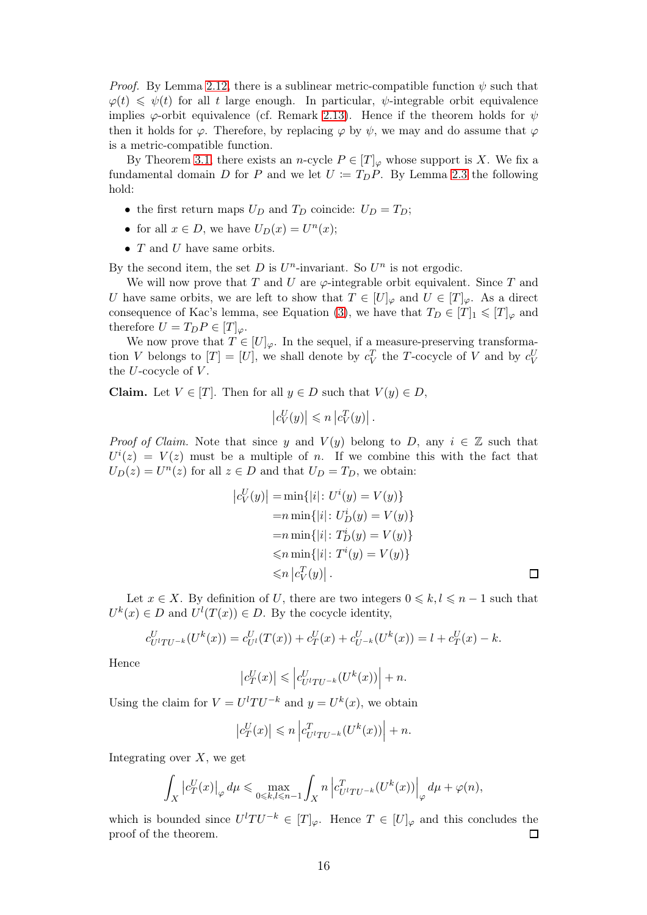*Proof.* By Lemma [2.12,](#page-8-0) there is a sublinear metric-compatible function  $\psi$  such that  $\varphi(t) \leq \psi(t)$  for all t large enough. In particular,  $\psi$ -integrable orbit equivalence implies  $\varphi$ -orbit equivalence (cf. Remark [2.13\)](#page-9-2). Hence if the theorem holds for  $\psi$ then it holds for  $\varphi$ . Therefore, by replacing  $\varphi$  by  $\psi$ , we may and do assume that  $\varphi$ is a metric-compatible function.

By Theorem [3.1,](#page-11-2) there exists an *n*-cycle  $P \in [T]_{\varphi}$  whose support is X. We fix a fundamental domain D for P and we let  $U := T<sub>D</sub>P$ . By Lemma [2.3](#page-6-4) the following hold:

- the first return maps  $U_D$  and  $T_D$  coincide:  $U_D = T_D$ ;
- for all  $x \in D$ , we have  $U_D(x) = U^n(x)$ ;
- $T$  and  $U$  have same orbits.

By the second item, the set  $D$  is  $U<sup>n</sup>$ -invariant. So  $U<sup>n</sup>$  is not ergodic.

We will now prove that T and U are  $\varphi$ -integrable orbit equivalent. Since T and U have same orbits, we are left to show that  $T \in [U]_{\varphi}$  and  $U \in [T]_{\varphi}$ . As a direct consequence of Kac's lemma, see Equation [\(3\)](#page-6-3), we have that  $T_D \in [T]_1 \leqslant [T]_{\varphi}$  and therefore  $U = T_D P \in [T]_{\varphi}$ .

We now prove that  $T \in [U]_{\varphi}$ . In the sequel, if a measure-preserving transformation V belongs to  $[T] = [U]$ , we shall denote by  $c_V^T$  the T-cocycle of V and by  $c_V^U$ the  $U$ -cocycle of  $V$ .

Claim. Let  $V \in [T]$ . Then for all  $y \in D$  such that  $V(y) \in D$ ,

$$
\left|c_V^U(y)\right| \leqslant n \left|c_V^T(y)\right|.
$$

*Proof of Claim.* Note that since y and  $V(y)$  belong to D, any  $i \in \mathbb{Z}$  such that  $U^{i}(z) = V(z)$  must be a multiple of n. If we combine this with the fact that  $U_D(z) = U<sup>n</sup>(z)$  for all  $z \in D$  and that  $U_D = T_D$ , we obtain:

$$
|c_V^U(y)| = \min\{|i|: U^i(y) = V(y)\}\
$$
  
= $n \min\{|i|: U_D^i(y) = V(y)\}\$   
= $n \min\{|i|: T_D^i(y) = V(y)\}\$   
 $\leq n \min\{|i|: T^i(y) = V(y)\}\$   
 $\leq n |c_V^T(y)|.$ 

Let  $x \in X$ . By definition of U, there are two integers  $0 \leq k, l \leq n-1$  such that  $U^k(x) \in D$  and  $U^l(T(x)) \in D$ . By the cocycle identity,

$$
c_{U^l T U^{-k}}^U(U^k(x)) = c_{U^l}^U(T(x)) + c_T^U(x) + c_{U^{-k}}^U(U^k(x)) = l + c_T^U(x) - k.
$$

Hence

$$
\left|c_T^U(x)\right| \leqslant \left|c_{U^l T U^{-k}}^U(U^k(x))\right| + n.
$$

Using the claim for  $V = U^{l}TU^{-k}$  and  $y = U^{k}(x)$ , we obtain

$$
\left|c_T^U(x)\right| \leqslant n \left|c_{U^l T U^{-k}}^T (U^k(x))\right| + n.
$$

Integrating over  $X$ , we get

$$
\int_X \left| c_T^U(x) \right|_{\varphi} d\mu \le \max_{0 \le k, l \le n-1} \int_X n \left| c_{U^l T U^{-k}}^T (U^k(x)) \right|_{\varphi} d\mu + \varphi(n),
$$

which is bounded since  $U^{l}TU^{-k} \in [T]_{\varphi}$ . Hence  $T \in [U]_{\varphi}$  and this concludes the proof of the theorem.  $\Box$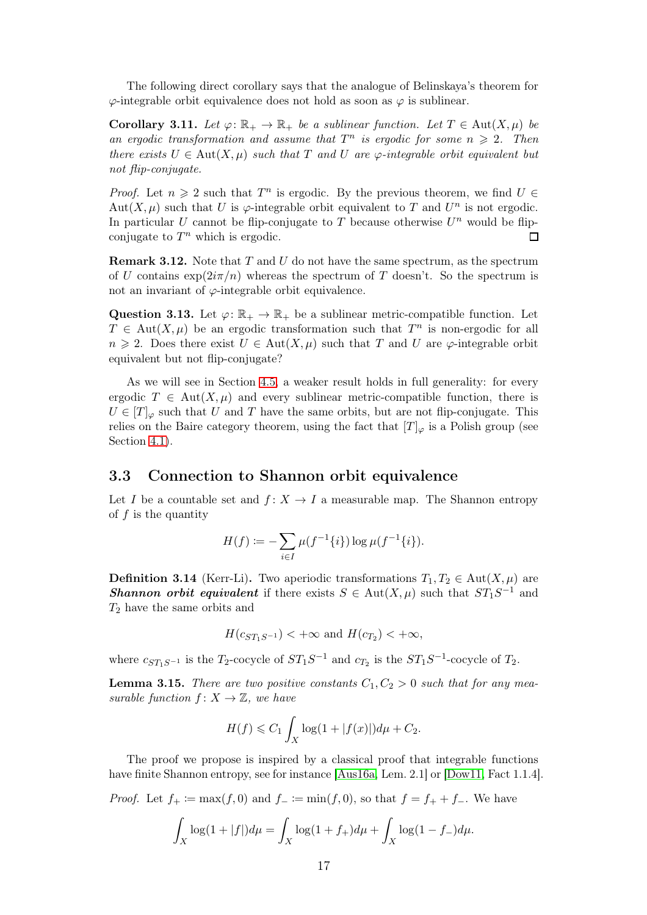The following direct corollary says that the analogue of Belinskaya's theorem for  $\varphi$ -integrable orbit equivalence does not hold as soon as  $\varphi$  is sublinear.

<span id="page-16-1"></span>Corollary 3.11. Let  $\varphi: \mathbb{R}_+ \to \mathbb{R}_+$  be a sublinear function. Let  $T \in \text{Aut}(X, \mu)$  be an ergodic transformation and assume that  $T^n$  is ergodic for some  $n \geq 2$ . Then there exists  $U \in Aut(X, \mu)$  such that T and U are  $\varphi$ -integrable orbit equivalent but not flip-conjugate.

*Proof.* Let  $n \geq 2$  such that  $T^n$  is ergodic. By the previous theorem, we find  $U \in$ Aut $(X, \mu)$  such that U is  $\varphi$ -integrable orbit equivalent to T and U<sup>n</sup> is not ergodic. In particular U cannot be flip-conjugate to T because otherwise  $U<sup>n</sup>$  would be flipconjugate to  $T^n$  which is ergodic.  $\Box$ 

**Remark 3.12.** Note that  $T$  and  $U$  do not have the same spectrum, as the spectrum of U contains  $\exp(2i\pi/n)$  whereas the spectrum of T doesn't. So the spectrum is not an invariant of  $\varphi$ -integrable orbit equivalence.

Question 3.13. Let  $\varphi: \mathbb{R}_+ \to \mathbb{R}_+$  be a sublinear metric-compatible function. Let  $T \in Aut(X, \mu)$  be an ergodic transformation such that  $T^n$  is non-ergodic for all  $n \geq 2$ . Does there exist  $U \in Aut(X, \mu)$  such that T and U are  $\varphi$ -integrable orbit equivalent but not flip-conjugate?

As we will see in Section [4.5,](#page-27-0) a weaker result holds in full generality: for every ergodic  $T \in Aut(X, \mu)$  and every sublinear metric-compatible function, there is  $U \in [T]_{\varphi}$  such that U and T have the same orbits, but are not flip-conjugate. This relies on the Baire category theorem, using the fact that  $[T]_{\varphi}$  is a Polish group (see Section [4.1\)](#page-19-0).

#### <span id="page-16-0"></span>3.3 Connection to Shannon orbit equivalence

Let I be a countable set and  $f: X \to I$  a measurable map. The Shannon entropy of  $f$  is the quantity

$$
H(f) := -\sum_{i\in I} \mu(f^{-1}\{i\}) \log \mu(f^{-1}\{i\}).
$$

**Definition 3.14** (Kerr-Li). Two aperiodic transformations  $T_1, T_2 \in \text{Aut}(X, \mu)$  are **Shannon orbit equivalent** if there exists  $S \in Aut(X, \mu)$  such that  $ST_1S^{-1}$  and  $T_2$  have the same orbits and

$$
H(c_{ST_1S^{-1}}) < +\infty
$$
 and  $H(c_{T_2}) < +\infty$ ,

where  $c_{ST_1S^{-1}}$  is the  $T_2$ -cocycle of  $ST_1S^{-1}$  and  $c_{T_2}$  is the  $ST_1S^{-1}$ -cocycle of  $T_2$ .

**Lemma 3.15.** There are two positive constants  $C_1, C_2 > 0$  such that for any measurable function  $f: X \to \mathbb{Z}$ , we have

$$
H(f) \leq C_1 \int_X \log(1 + |f(x)|) d\mu + C_2.
$$

The proof we propose is inspired by a classical proof that integrable functions have finite Shannon entropy, see for instance [\[Aus16a,](#page-32-4) Lem. 2.1] or [\[Dow11,](#page-32-13) Fact 1.1.4].

*Proof.* Let  $f_+ := \max(f, 0)$  and  $f_- := \min(f, 0)$ , so that  $f = f_+ + f_-.$  We have

$$
\int_X \log(1+|f|)d\mu = \int_X \log(1+f_+)d\mu + \int_X \log(1-f_-)d\mu.
$$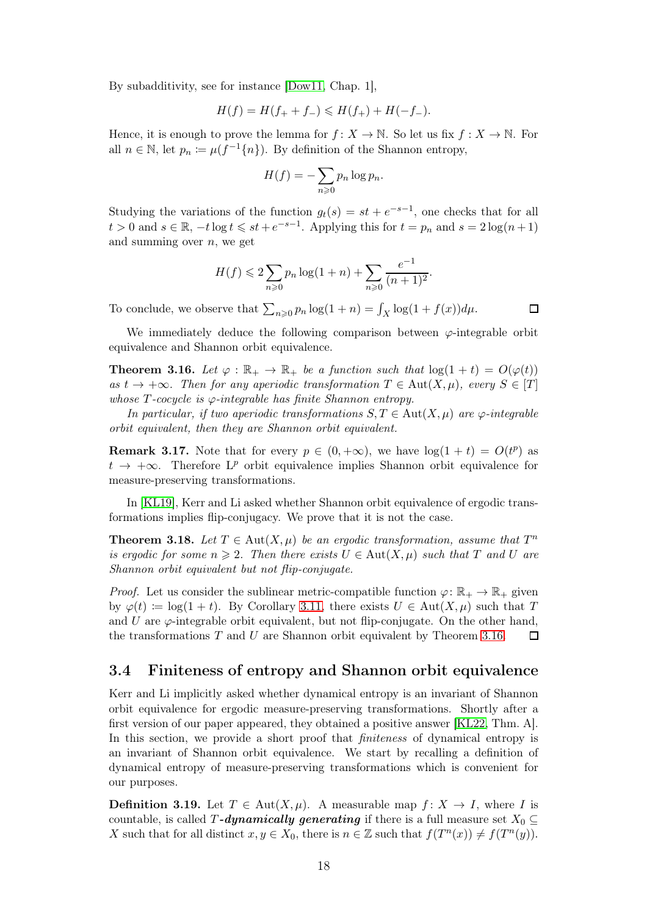By subadditivity, see for instance [\[Dow11,](#page-32-13) Chap. 1],

$$
H(f) = H(f_+ + f_-) \le H(f_+) + H(-f_-).
$$

Hence, it is enough to prove the lemma for  $f: X \to \mathbb{N}$ . So let us fix  $f: X \to \mathbb{N}$ . For all  $n \in \mathbb{N}$ , let  $p_n := \mu(f^{-1}\{n\})$ . By definition of the Shannon entropy,

$$
H(f) = -\sum_{n\geqslant 0} p_n \log p_n.
$$

Studying the variations of the function  $g_t(s) = st + e^{-s-1}$ , one checks that for all  $t > 0$  and  $s \in \mathbb{R}$ ,  $-t \log t \leqslant st + e^{-s-1}$ . Applying this for  $t = p_n$  and  $s = 2 \log(n+1)$ and summing over  $n$ , we get

$$
H(f) \leq 2\sum_{n\geq 0} p_n \log(1+n) + \sum_{n\geq 0} \frac{e^{-1}}{(n+1)^2}.
$$

To conclude, we observe that  $\sum_{n\geqslant 0} p_n \log(1+n) = \int_X \log(1+f(x))d\mu$ .

We immediately deduce the following comparison between  $\varphi$ -integrable orbit equivalence and Shannon orbit equivalence.

<span id="page-17-2"></span>**Theorem 3.16.** Let  $\varphi : \mathbb{R}_+ \to \mathbb{R}_+$  be a function such that  $\log(1+t) = O(\varphi(t))$ as  $t \to +\infty$ . Then for any aperiodic transformation  $T \in \text{Aut}(X,\mu)$ , every  $S \in [T]$ whose  $T$ -cocycle is  $\varphi$ -integrable has finite Shannon entropy.

In particular, if two aperiodic transformations  $S, T \in Aut(X, \mu)$  are  $\varphi$ -integrable orbit equivalent, then they are Shannon orbit equivalent.

**Remark 3.17.** Note that for every  $p \in (0, +\infty)$ , we have  $\log(1+t) = O(t^p)$  as  $t \to +\infty$ . Therefore L<sup>*p*</sup> orbit equivalence implies Shannon orbit equivalence for measure-preserving transformations.

In [\[KL19\]](#page-32-6), Kerr and Li asked whether Shannon orbit equivalence of ergodic transformations implies flip-conjugacy. We prove that it is not the case.

<span id="page-17-1"></span>**Theorem 3.18.** Let  $T \in Aut(X, \mu)$  be an ergodic transformation, assume that  $T^n$ is ergodic for some  $n \geq 2$ . Then there exists  $U \in \text{Aut}(X, \mu)$  such that T and U are Shannon orbit equivalent but not flip-conjugate.

*Proof.* Let us consider the sublinear metric-compatible function  $\varphi \colon \mathbb{R}_+ \to \mathbb{R}_+$  given by  $\varphi(t) \coloneqq \log(1+t)$ . By Corollary [3.11,](#page-16-1) there exists  $U \in \text{Aut}(X,\mu)$  such that T and U are  $\varphi$ -integrable orbit equivalent, but not flip-conjugate. On the other hand, the transformations  $T$  and  $U$  are Shannon orbit equivalent by Theorem [3.16.](#page-17-2) П

#### <span id="page-17-0"></span>3.4 Finiteness of entropy and Shannon orbit equivalence

Kerr and Li implicitly asked whether dynamical entropy is an invariant of Shannon orbit equivalence for ergodic measure-preserving transformations. Shortly after a first version of our paper appeared, they obtained a positive answer [\[KL22,](#page-32-7) Thm. A]. In this section, we provide a short proof that *finiteness* of dynamical entropy is an invariant of Shannon orbit equivalence. We start by recalling a definition of dynamical entropy of measure-preserving transformations which is convenient for our purposes.

**Definition 3.19.** Let  $T \in Aut(X, \mu)$ . A measurable map  $f: X \to I$ , where I is countable, is called T-dynamically generating if there is a full measure set  $X_0 \subset$ X such that for all distinct  $x, y \in X_0$ , there is  $n \in \mathbb{Z}$  such that  $f(T^n(x)) \neq f(T^n(y))$ .

 $\Box$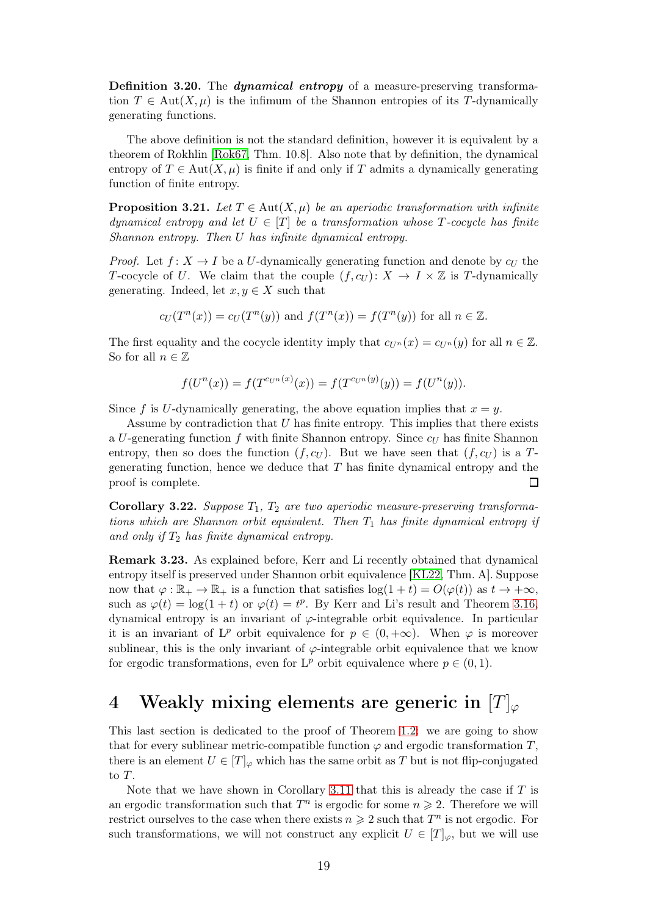Definition 3.20. The *dynamical entropy* of a measure-preserving transformation  $T \in Aut(X, \mu)$  is the infimum of the Shannon entropies of its T-dynamically generating functions.

The above definition is not the standard definition, however it is equivalent by a theorem of Rokhlin [\[Rok67,](#page-33-3) Thm. 10.8]. Also note that by definition, the dynamical entropy of  $T \in Aut(X, \mu)$  is finite if and only if T admits a dynamically generating function of finite entropy.

<span id="page-18-1"></span>**Proposition 3.21.** Let  $T \in Aut(X, \mu)$  be an aperiodic transformation with infinite dynamical entropy and let  $U \in [T]$  be a transformation whose T-cocycle has finite Shannon entropy. Then U has infinite dynamical entropy.

*Proof.* Let  $f: X \to I$  be a U-dynamically generating function and denote by  $c_U$  the T-cocycle of U. We claim that the couple  $(f, c_U)$ :  $X \to I \times \mathbb{Z}$  is T-dynamically generating. Indeed, let  $x, y \in X$  such that

$$
c_U(T^n(x)) = c_U(T^n(y))
$$
 and  $f(T^n(x)) = f(T^n(y))$  for all  $n \in \mathbb{Z}$ .

The first equality and the cocycle identity imply that  $c_{U_n}(x) = c_{U_n}(y)$  for all  $n \in \mathbb{Z}$ . So for all  $n \in \mathbb{Z}$ 

$$
f(U^{n}(x)) = f(T^{c_{U^{n}}(x)}(x)) = f(T^{c_{U^{n}}(y)}(y)) = f(U^{n}(y)).
$$

Since f is U-dynamically generating, the above equation implies that  $x = y$ .

Assume by contradiction that  $U$  has finite entropy. This implies that there exists a U-generating function f with finite Shannon entropy. Since  $c_U$  has finite Shannon entropy, then so does the function  $(f, c_U)$ . But we have seen that  $(f, c_U)$  is a Tgenerating function, hence we deduce that  $T$  has finite dynamical entropy and the proof is complete.  $\Box$ 

Corollary 3.22. Suppose  $T_1$ ,  $T_2$  are two aperiodic measure-preserving transformations which are Shannon orbit equivalent. Then  $T_1$  has finite dynamical entropy if and only if  $T_2$  has finite dynamical entropy.

Remark 3.23. As explained before, Kerr and Li recently obtained that dynamical entropy itself is preserved under Shannon orbit equivalence [\[KL22,](#page-32-7) Thm. A]. Suppose now that  $\varphi : \mathbb{R}_+ \to \mathbb{R}_+$  is a function that satisfies  $\log(1+t) = O(\varphi(t))$  as  $t \to +\infty$ , such as  $\varphi(t) = \log(1+t)$  or  $\varphi(t) = t^p$ . By Kerr and Li's result and Theorem [3.16,](#page-17-2) dynamical entropy is an invariant of  $\varphi$ -integrable orbit equivalence. In particular it is an invariant of  $L^p$  orbit equivalence for  $p \in (0, +\infty)$ . When  $\varphi$  is moreover sublinear, this is the only invariant of  $\varphi$ -integrable orbit equivalence that we know for ergodic transformations, even for  $L^p$  orbit equivalence where  $p \in (0,1)$ .

## <span id="page-18-0"></span>4 Weakly mixing elements are generic in  $[T]_{\varphi}$

This last section is dedicated to the proof of Theorem [1.2:](#page-2-0) we are going to show that for every sublinear metric-compatible function  $\varphi$  and ergodic transformation T, there is an element  $U \in [T]_{\varphi}$  which has the same orbit as T but is not flip-conjugated to T.

Note that we have shown in Corollary [3.11](#page-16-1) that this is already the case if  $T$  is an ergodic transformation such that  $T^n$  is ergodic for some  $n \geq 2$ . Therefore we will restrict ourselves to the case when there exists  $n \geq 2$  such that  $T^n$  is not ergodic. For such transformations, we will not construct any explicit  $U \in [T]_{\varphi}$ , but we will use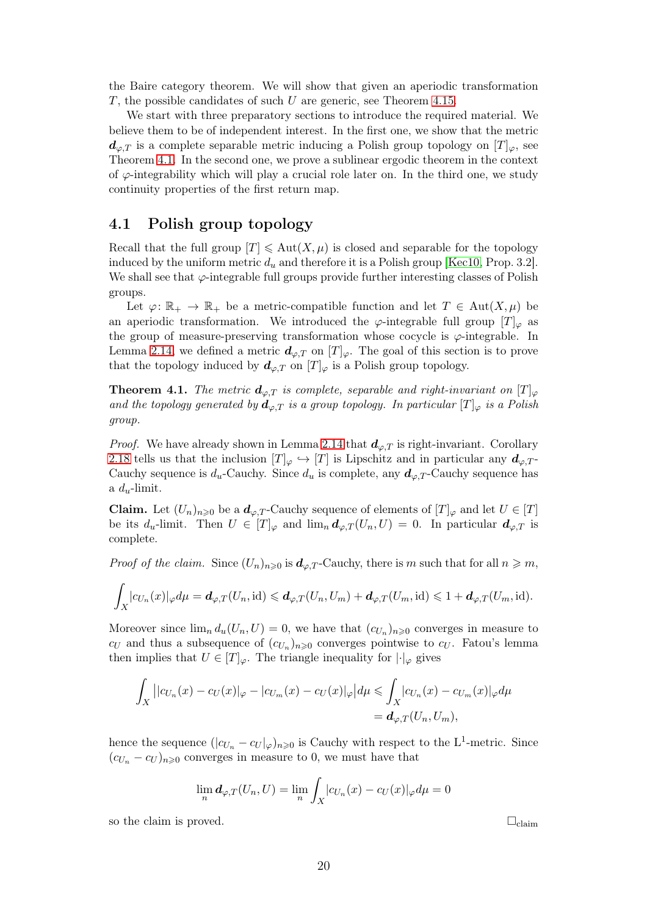the Baire category theorem. We will show that given an aperiodic transformation  $T$ , the possible candidates of such  $U$  are generic, see Theorem [4.15.](#page-26-2)

We start with three preparatory sections to introduce the required material. We believe them to be of independent interest. In the first one, we show that the metric  $d_{\varphi,T}$  is a complete separable metric inducing a Polish group topology on  $[T]_{\varphi}$ , see Theorem [4.1.](#page-19-1) In the second one, we prove a sublinear ergodic theorem in the context of  $\varphi$ -integrability which will play a crucial role later on. In the third one, we study continuity properties of the first return map.

#### <span id="page-19-0"></span>4.1 Polish group topology

Recall that the full group  $|T| \leq \text{Aut}(X, \mu)$  is closed and separable for the topology induced by the uniform metric  $d_u$  and therefore it is a Polish group [\[Kec10,](#page-32-11) Prop. 3.2]. We shall see that  $\varphi$ -integrable full groups provide further interesting classes of Polish groups.

Let  $\varphi: \mathbb{R}_+ \to \mathbb{R}_+$  be a metric-compatible function and let  $T \in Aut(X, \mu)$  be an aperiodic transformation. We introduced the  $\varphi$ -integrable full group  $[T]_{\varphi}$  as the group of measure-preserving transformation whose cocycle is  $\varphi$ -integrable. In Lemma [2.14,](#page-9-1) we defined a metric  $d_{\varphi,T}$  on  $[T]_{\varphi}$ . The goal of this section is to prove that the topology induced by  $d_{\varphi,T}$  on  $[T]_{\varphi}$  is a Polish group topology.

<span id="page-19-1"></span>**Theorem 4.1.** The metric  $d_{\varphi,T}$  is complete, separable and right-invariant on  $[T]_{\varphi}$ and the topology generated by  $d_{\varphi,T}$  is a group topology. In particular  $[T]_{\varphi}$  is a Polish group.

*Proof.* We have already shown in Lemma [2.14](#page-9-1) that  $d_{\varphi,T}$  is right-invariant. Corollary [2.18](#page-11-3) tells us that the inclusion  $[T]_{\varphi} \hookrightarrow [T]$  is Lipschitz and in particular any  $d_{\varphi,T}$ . Cauchy sequence is  $d_u$ -Cauchy. Since  $d_u$  is complete, any  $d_{\varphi,T}$ -Cauchy sequence has a  $d_u$ -limit.

**Claim.** Let  $(U_n)_{n\geqslant0}$  be a  $d_{\varphi,T}$ -Cauchy sequence of elements of  $[T]_{\varphi}$  and let  $U \in [T]$ be its  $d_u$ -limit. Then  $U \in [T]_{\varphi}$  and  $\lim_n \mathbf{d}_{\varphi,T}(U_n, U) = 0$ . In particular  $\mathbf{d}_{\varphi,T}$  is complete.

*Proof of the claim.* Since  $(U_n)_{n\geqslant0}$  is  $d_{\varphi,T}$ -Cauchy, there is m such that for all  $n\geqslant m$ ,

$$
\int_X |c_{U_n}(x)|_{\varphi} d\mu = \boldsymbol{d}_{\varphi,T}(U_n, \text{id}) \leqslant \boldsymbol{d}_{\varphi,T}(U_n, U_m) + \boldsymbol{d}_{\varphi,T}(U_m, \text{id}) \leqslant 1 + \boldsymbol{d}_{\varphi,T}(U_m, \text{id}).
$$

Moreover since  $\lim_{n} d_u(U_n, U) = 0$ , we have that  $(c_{U_n})_{n \geq 0}$  converges in measure to  $c_U$  and thus a subsequence of  $(c_{U_n})_{n\geqslant0}$  converges pointwise to  $c_U$ . Fatou's lemma then implies that  $U \in [T]_{\varphi}$ . The triangle inequality for  $|\cdot|_{\varphi}$  gives

$$
\int_X ||c_{U_n}(x) - c_U(x)|_{\varphi} - |c_{U_m}(x) - c_U(x)|_{\varphi} |d\mu \le \int_X |c_{U_n}(x) - c_{U_m}(x)|_{\varphi} d\mu
$$
\n
$$
= d_{\varphi, T}(U_n, U_m),
$$

hence the sequence  $(|c_{U_n} - c_U|_{\varphi})_{n \geq 0}$  is Cauchy with respect to the L<sup>1</sup>-metric. Since  $(c_{U_n}-c_U)_{n\geq 0}$  converges in measure to 0, we must have that

$$
\lim_{n} d_{\varphi,T}(U_n, U) = \lim_{n} \int_{X} |c_{U_n}(x) - c_U(x)|_{\varphi} d\mu = 0
$$

so the claim is proved.  $\Box$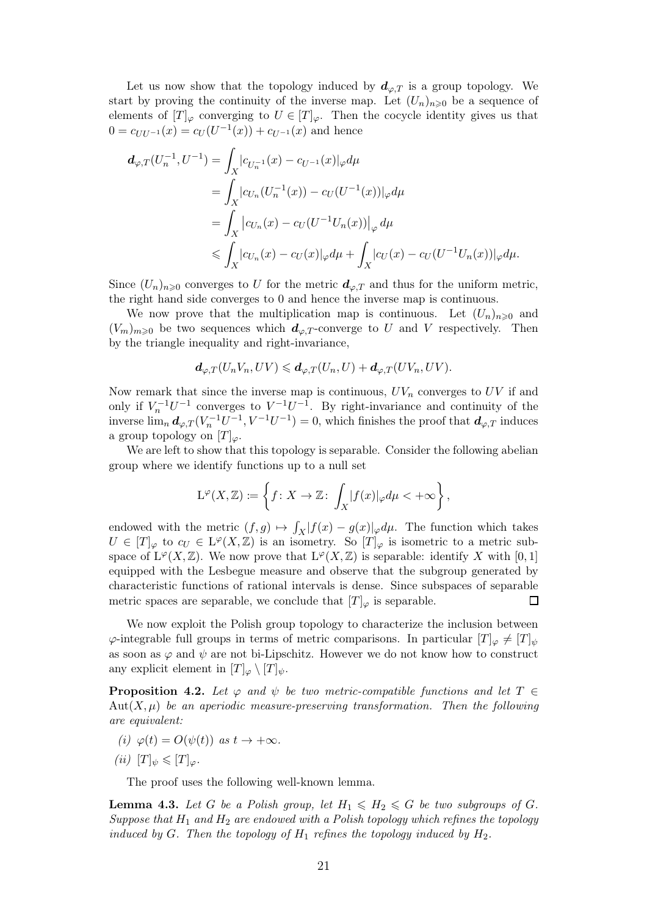Let us now show that the topology induced by  $d_{\varphi,T}$  is a group topology. We start by proving the continuity of the inverse map. Let  $(U_n)_{n\geqslant0}$  be a sequence of elements of  $[T]_{\varphi}$  converging to  $U \in [T]_{\varphi}$ . Then the cocycle identity gives us that  $0 = c_{UU^{-1}}(x) = c_U(U^{-1}(x)) + c_{U^{-1}}(x)$  and hence

$$
d_{\varphi,T}(U_n^{-1}, U^{-1}) = \int_X |c_{U_n^{-1}}(x) - c_{U^{-1}}(x)|_{\varphi} d\mu
$$
  
\n
$$
= \int_X |c_{U_n}(U_n^{-1}(x)) - c_{U}(U^{-1}(x))|_{\varphi} d\mu
$$
  
\n
$$
= \int_X |c_{U_n}(x) - c_{U}(U^{-1}U_n(x))|_{\varphi} d\mu
$$
  
\n
$$
\leq \int_X |c_{U_n}(x) - c_{U}(x)|_{\varphi} d\mu + \int_X |c_{U}(x) - c_{U}(U^{-1}U_n(x))|_{\varphi} d\mu.
$$

Since  $(U_n)_{n\geqslant0}$  converges to U for the metric  $d_{\varphi,T}$  and thus for the uniform metric, the right hand side converges to 0 and hence the inverse map is continuous.

We now prove that the multiplication map is continuous. Let  $(U_n)_{n\geq 0}$  and  $(V_m)_{m\geq 0}$  be two sequences which  $d_{\varphi,T}$ -converge to U and V respectively. Then by the triangle inequality and right-invariance,

$$
\mathbf{d}_{\varphi,T}(U_nV_n,UV)\leqslant \mathbf{d}_{\varphi,T}(U_n,U)+\mathbf{d}_{\varphi,T}(UV_n,UV).
$$

Now remark that since the inverse map is continuous,  $UV_n$  converges to  $UV$  if and only if  $V_n^{-1}U^{-1}$  converges to  $V^{-1}U^{-1}$ . By right-invariance and continuity of the inverse  $\lim_{n} d_{\varphi,T}(V_n^{-1}U^{-1}, V^{-1}U^{-1}) = 0$ , which finishes the proof that  $d_{\varphi,T}$  induces a group topology on  $[T]_{\varphi}$ .

We are left to show that this topology is separable. Consider the following abelian group where we identify functions up to a null set

$$
\mathcal{L}^{\varphi}(X,\mathbb{Z}) \coloneqq \left\{f\colon X\to \mathbb{Z}\colon \int_X |f(x)|_{\varphi} d\mu < +\infty\right\},
$$

endowed with the metric  $(f, g) \mapsto \int_X |f(x) - g(x)|_{\varphi} d\mu$ . The function which takes  $U \in [T]_{\varphi}$  to  $c_U \in L^{\varphi}(X,\mathbb{Z})$  is an isometry. So  $[T]_{\varphi}$  is isometric to a metric subspace of  $L^{\varphi}(X,\mathbb{Z})$ . We now prove that  $L^{\varphi}(X,\mathbb{Z})$  is separable: identify X with [0, 1] equipped with the Lesbegue measure and observe that the subgroup generated by characteristic functions of rational intervals is dense. Since subspaces of separable metric spaces are separable, we conclude that  $[T]_{\varphi}$  is separable.  $\Box$ 

We now exploit the Polish group topology to characterize the inclusion between  $\varphi$ -integrable full groups in terms of metric comparisons. In particular  $[T]_{\varphi} \neq [T]_{\psi}$ as soon as  $\varphi$  and  $\psi$  are not bi-Lipschitz. However we do not know how to construct any explicit element in  $[T]_{\varphi} \setminus [T]_{\psi}$ .

<span id="page-20-0"></span>**Proposition 4.2.** Let  $\varphi$  and  $\psi$  be two metric-compatible functions and let  $T \in$  $Aut(X, \mu)$  be an aperiodic measure-preserving transformation. Then the following are equivalent:

<span id="page-20-2"></span><span id="page-20-1"></span>(i)  $\varphi(t) = O(\psi(t))$  as  $t \to +\infty$ .

$$
(ii) [T]_{\psi} \leq [T]_{\varphi}.
$$

The proof uses the following well-known lemma.

<span id="page-20-3"></span>**Lemma 4.3.** Let G be a Polish group, let  $H_1 \n\leq H_2 \leq G$  be two subgroups of G. Suppose that  $H_1$  and  $H_2$  are endowed with a Polish topology which refines the topology induced by G. Then the topology of  $H_1$  refines the topology induced by  $H_2$ .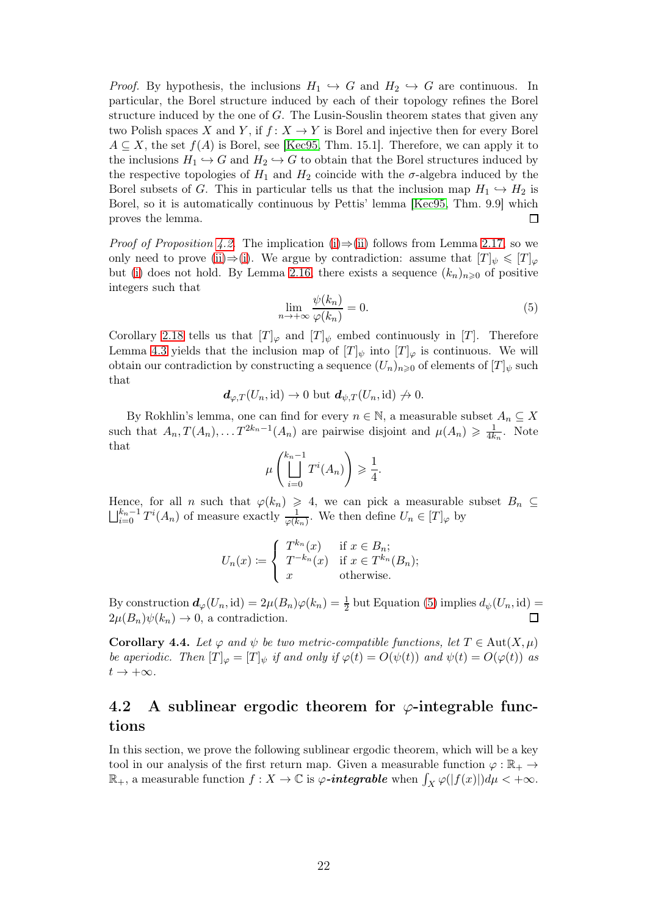*Proof.* By hypothesis, the inclusions  $H_1 \hookrightarrow G$  and  $H_2 \hookrightarrow G$  are continuous. In particular, the Borel structure induced by each of their topology refines the Borel structure induced by the one of G. The Lusin-Souslin theorem states that given any two Polish spaces X and Y, if  $f: X \to Y$  is Borel and injective then for every Borel  $A \subseteq X$ , the set  $f(A)$  is Borel, see [\[Kec95,](#page-32-14) Thm. 15.1]. Therefore, we can apply it to the inclusions  $H_1 \hookrightarrow G$  and  $H_2 \hookrightarrow G$  to obtain that the Borel structures induced by the respective topologies of  $H_1$  and  $H_2$  coincide with the  $\sigma$ -algebra induced by the Borel subsets of G. This in particular tells us that the inclusion map  $H_1 \hookrightarrow H_2$  is Borel, so it is automatically continuous by Pettis' lemma [\[Kec95,](#page-32-14) Thm. 9.9] which proves the lemma. П

*Proof of Proposition [4.2.](#page-20-0)* The implication [\(i\)](#page-20-1) $\Rightarrow$ [\(ii\)](#page-20-2) follows from Lemma [2.17,](#page-10-4) so we only need to prove [\(ii\)](#page-20-2)⇒[\(i\)](#page-20-1). We argue by contradiction: assume that  $[T]_{\psi} \leq T]_{\varphi}$ but [\(i\)](#page-20-1) does not hold. By Lemma [2.16,](#page-10-3) there exists a sequence  $(k_n)_{n\geqslant0}$  of positive integers such that

<span id="page-21-1"></span>
$$
\lim_{n \to +\infty} \frac{\psi(k_n)}{\varphi(k_n)} = 0.
$$
\n(5)

Corollary [2.18](#page-11-3) tells us that  $[T]_{\varphi}$  and  $[T]_{\psi}$  embed continuously in  $[T]$ . Therefore Lemma [4.3](#page-20-3) yields that the inclusion map of  $[T]_{\psi}$  into  $[T]_{\varphi}$  is continuous. We will obtain our contradiction by constructing a sequence  $(U_n)_{n\geq 0}$  of elements of  $[T]_\psi$  such that

$$
\mathbf{d}_{\varphi,T}(U_n,\mathrm{id})\to 0\text{ but }\mathbf{d}_{\psi,T}(U_n,\mathrm{id})\to 0.
$$

By Rokhlin's lemma, one can find for every  $n \in \mathbb{N}$ , a measurable subset  $A_n \subseteq X$ such that  $A_n, T(A_n), \ldots T^{2k_n-1}(A_n)$  are pairwise disjoint and  $\mu(A_n) \geq \frac{1}{4k_n}$ . Note that

$$
\mu\left(\bigsqcup_{i=0}^{k_n-1}T^i(A_n)\right) \geqslant \frac{1}{4}.
$$

Hence, for all n such that  $\varphi(k_n) \geq 4$ , we can pick a measurable subset  $B_n \subseteq$  $\bigsqcup_{i=0}^{k_n-1} T^i(A_n)$  of measure exactly  $\frac{1}{\varphi(k_n)}$ . We then define  $U_n \in [T]_{\varphi}$  by

$$
U_n(x) := \begin{cases} T^{k_n}(x) & \text{if } x \in B_n; \\ T^{-k_n}(x) & \text{if } x \in T^{k_n}(B_n); \\ x & \text{otherwise.} \end{cases}
$$

By construction  $d_{\varphi}(U_n, id) = 2\mu(B_n)\varphi(k_n) = \frac{1}{2}$  but Equation [\(5\)](#page-21-1) implies  $d_{\psi}(U_n, id) =$  $2\mu(B_n)\psi(k_n)\to 0$ , a contradiction. П

Corollary 4.4. Let  $\varphi$  and  $\psi$  be two metric-compatible functions, let  $T \in \text{Aut}(X, \mu)$ be aperiodic. Then  $[T]_{\varphi} = [T]_{\psi}$  if and only if  $\varphi(t) = O(\psi(t))$  and  $\psi(t) = O(\varphi(t))$  as  $t \to +\infty$ .

### <span id="page-21-0"></span>4.2 A sublinear ergodic theorem for  $\varphi$ -integrable functions

In this section, we prove the following sublinear ergodic theorem, which will be a key tool in our analysis of the first return map. Given a measurable function  $\varphi : \mathbb{R}_+ \to$  $\mathbb{R}_+$ , a measurable function  $f: X \to \mathbb{C}$  is  $\varphi$ -integrable when  $\int_X \varphi(|f(x)|) d\mu < +\infty$ .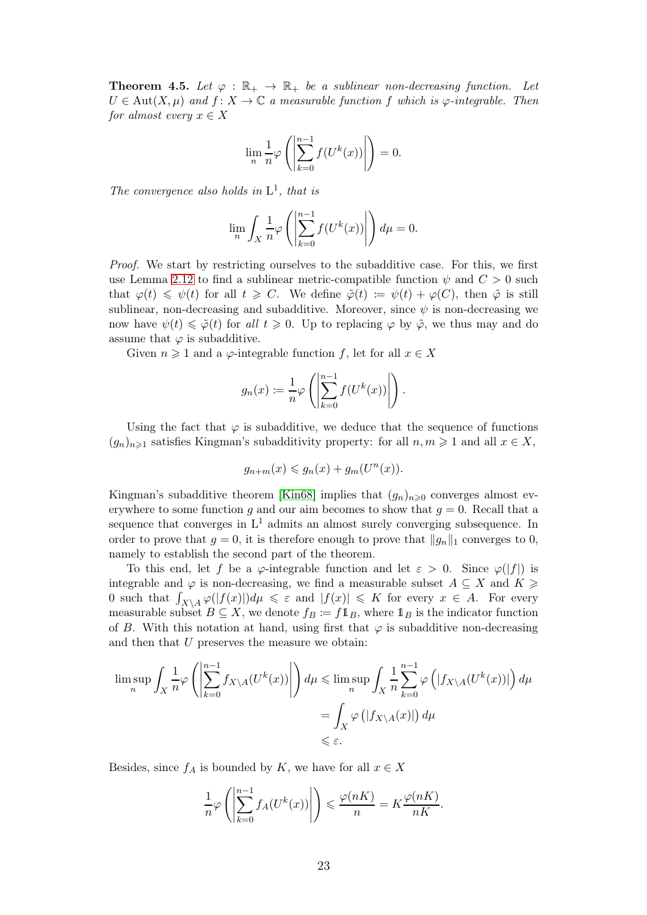<span id="page-22-0"></span>**Theorem 4.5.** Let  $\varphi : \mathbb{R}_+ \to \mathbb{R}_+$  be a sublinear non-decreasing function. Let  $U \in Aut(X, \mu)$  and  $f: X \to \mathbb{C}$  a measurable function f which is  $\varphi$ -integrable. Then for almost every  $x \in X$ 

$$
\lim_{n} \frac{1}{n} \varphi \left( \left| \sum_{k=0}^{n-1} f(U^{k}(x)) \right| \right) = 0.
$$

The convergence also holds in  $L^1$ , that is

$$
\lim_{n} \int_{X} \frac{1}{n} \varphi \left( \left| \sum_{k=0}^{n-1} f(U^{k}(x)) \right| \right) d\mu = 0.
$$

Proof. We start by restricting ourselves to the subadditive case. For this, we first use Lemma [2.12](#page-8-0) to find a sublinear metric-compatible function  $\psi$  and  $C > 0$  such that  $\varphi(t) \leq \psi(t)$  for all  $t \geq C$ . We define  $\tilde{\varphi}(t) := \psi(t) + \varphi(C)$ , then  $\tilde{\varphi}$  is still sublinear, non-decreasing and subadditive. Moreover, since  $\psi$  is non-decreasing we now have  $\psi(t) \leq \tilde{\varphi}(t)$  for all  $t \geq 0$ . Up to replacing  $\varphi$  by  $\tilde{\varphi}$ , we thus may and do assume that  $\varphi$  is subadditive.

Given  $n \geq 1$  and a  $\varphi$ -integrable function f, let for all  $x \in X$ 

$$
g_n(x) := \frac{1}{n} \varphi \left( \left| \sum_{k=0}^{n-1} f(U^k(x)) \right| \right).
$$

Using the fact that  $\varphi$  is subadditive, we deduce that the sequence of functions  $(g_n)_{n\geq 1}$  satisfies Kingman's subadditivity property: for all  $n, m \geq 1$  and all  $x \in X$ ,

$$
g_{n+m}(x) \leq g_n(x) + g_m(U^n(x)).
$$

Kingman's subadditive theorem [\[Kin68\]](#page-32-15) implies that  $(g_n)_{n\geq 0}$  converges almost everywhere to some function g and our aim becomes to show that  $q = 0$ . Recall that a sequence that converges in  $L^1$  admits an almost surely converging subsequence. In order to prove that  $g = 0$ , it is therefore enough to prove that  $||g_n||_1$  converges to 0, namely to establish the second part of the theorem.

To this end, let f be a  $\varphi$ -integrable function and let  $\varepsilon > 0$ . Since  $\varphi(|f|)$  is integrable and  $\varphi$  is non-decreasing, we find a measurable subset  $A \subseteq X$  and  $K \geq$ 0 such that  $\int_{X\setminus A}\varphi(|f(x)|)d\mu \leq \varepsilon$  and  $|f(x)| \leq K$  for every  $x \in A$ . For every measurable subset  $B \subseteq X$ , we denote  $f_B := f \mathbb{1}_B$ , where  $\mathbb{1}_B$  is the indicator function of B. With this notation at hand, using first that  $\varphi$  is subadditive non-decreasing and then that U preserves the measure we obtain:

$$
\limsup_{n} \int_{X} \frac{1}{n} \varphi \left( \left| \sum_{k=0}^{n-1} f_{X \setminus A} (U^{k}(x)) \right| \right) d\mu \le \limsup_{n} \int_{X} \frac{1}{n} \sum_{k=0}^{n-1} \varphi \left( |f_{X \setminus A} (U^{k}(x))| \right) d\mu
$$
  
= 
$$
\int_{X} \varphi \left( |f_{X \setminus A}(x)| \right) d\mu
$$
  

$$
\le \varepsilon.
$$

Besides, since  $f_A$  is bounded by K, we have for all  $x \in X$ 

$$
\frac{1}{n}\varphi\left(\left|\sum_{k=0}^{n-1}f_A(U^k(x))\right|\right) \leqslant \frac{\varphi(nK)}{n} = K\frac{\varphi(nK)}{nK}
$$

.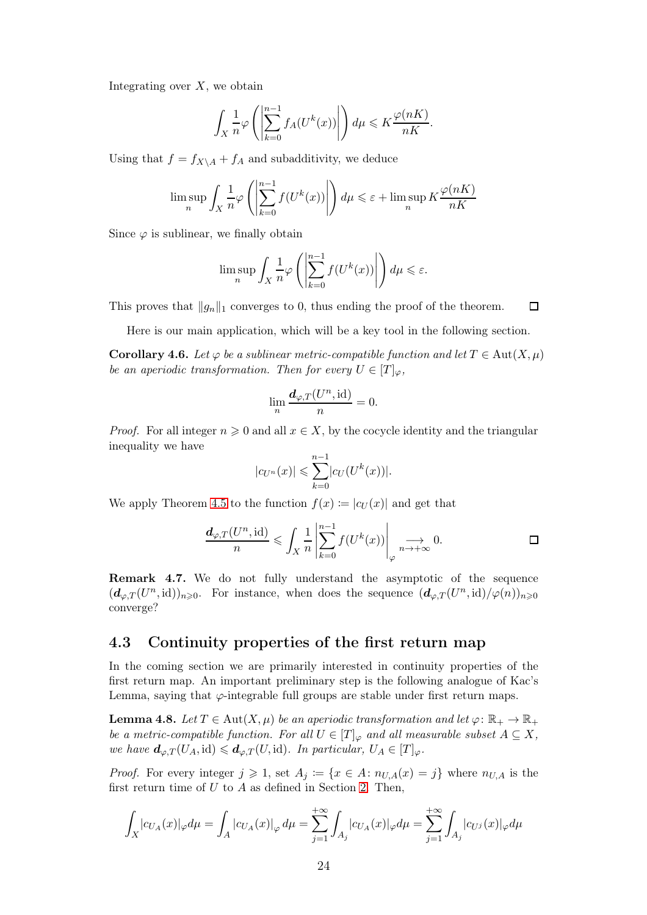Integrating over  $X$ , we obtain

$$
\int_X \frac{1}{n} \varphi\left(\left|\sum_{k=0}^{n-1} f_A(U^k(x))\right|\right) d\mu \leqslant K \frac{\varphi(nK)}{nK}.
$$

Using that  $f = f_{X\setminus A} + f_A$  and subadditivity, we deduce

$$
\limsup_n \int_X \frac{1}{n} \varphi\left( \left|\sum_{k=0}^{n-1} f(U^k(x))\right| \right) d\mu \leqslant \varepsilon + \limsup_n K \frac{\varphi(nK)}{nK}
$$

Since  $\varphi$  is sublinear, we finally obtain

$$
\limsup_n \int_X \frac{1}{n} \varphi\left(\left|\sum_{k=0}^{n-1} f(U^k(x))\right|\right) d\mu \leqslant \varepsilon.
$$

This proves that  $||g_n||_1$  converges to 0, thus ending the proof of the theorem.  $\Box$ 

Here is our main application, which will be a key tool in the following section.

<span id="page-23-2"></span>**Corollary 4.6.** Let  $\varphi$  be a sublinear metric-compatible function and let  $T \in \text{Aut}(X, \mu)$ be an aperiodic transformation. Then for every  $U \in [T]_{\varphi}$ ,

$$
\lim_{n} \frac{d_{\varphi,T}(U^n,\mathrm{id})}{n} = 0.
$$

*Proof.* For all integer  $n \geq 0$  and all  $x \in X$ , by the cocycle identity and the triangular inequality we have

$$
|c_{U^n}(x)| \leqslant \sum_{k=0}^{n-1} |c_U(U^k(x))|.
$$

We apply Theorem [4.5](#page-22-0) to the function  $f(x) := |c_U(x)|$  and get that

$$
\frac{d_{\varphi,T}(U^n,\mathrm{id})}{n} \leqslant \int_X \frac{1}{n} \left| \sum_{k=0}^{n-1} f(U^k(x)) \right|_{\varphi} \underset{n \to +\infty}{\longrightarrow} 0. \qquad \Box
$$

Remark 4.7. We do not fully understand the asymptotic of the sequence  $(\mathbf{d}_{\varphi,T}(U^n,\mathrm{id}))_{n\geqslant0}$ . For instance, when does the sequence  $(\mathbf{d}_{\varphi,T}(U^n,\mathrm{id})/\varphi(n))_{n\geqslant0}$ converge?

#### <span id="page-23-0"></span>4.3 Continuity properties of the first return map

In the coming section we are primarily interested in continuity properties of the first return map. An important preliminary step is the following analogue of Kac's Lemma, saying that  $\varphi$ -integrable full groups are stable under first return maps.

<span id="page-23-1"></span>**Lemma 4.8.** Let  $T \in Aut(X, \mu)$  be an aperiodic transformation and let  $\varphi \colon \mathbb{R}_+ \to \mathbb{R}_+$ be a metric-compatible function. For all  $U \in [T]_{\varphi}$  and all measurable subset  $A \subseteq X$ , we have  $\mathbf{d}_{\varphi,T}(U_A, \text{id}) \leq \mathbf{d}_{\varphi,T}(U, \text{id})$ . In particular,  $U_A \in [T]_{\varphi}$ .

*Proof.* For every integer  $j \geq 1$ , set  $A_j := \{x \in A : n_{U,A}(x) = j\}$  where  $n_{U,A}$  is the first return time of  $U$  to  $A$  as defined in Section [2.](#page-5-0) Then,

$$
\int_X |c_{U_A}(x)|_\varphi d\mu = \int_A |c_{U_A}(x)|_\varphi d\mu = \sum_{j=1}^{+\infty} \int_{A_j} |c_{U_A}(x)|_\varphi d\mu = \sum_{j=1}^{+\infty} \int_{A_j} |c_{U^j}(x)|_\varphi d\mu
$$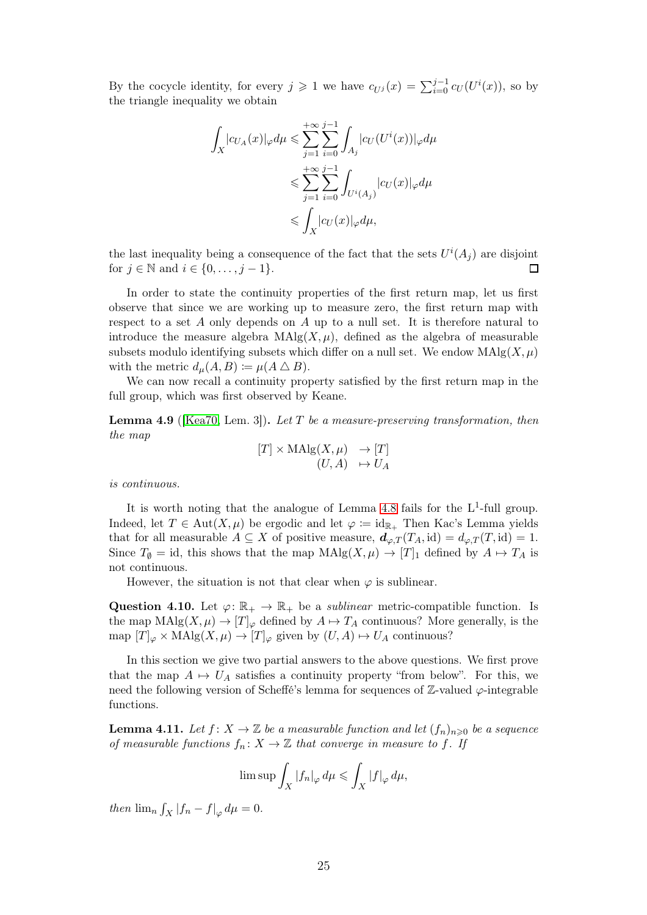By the cocycle identity, for every  $j \geq 1$  we have  $c_{U^j}(x) = \sum_{i=0}^{j-1} c_U(U^i(x))$ , so by the triangle inequality we obtain

$$
\int_X |c_{U_A}(x)|_\varphi d\mu \leqslant \sum_{j=1}^{+\infty} \sum_{i=0}^{j-1} \int_{A_j} |c_U(U^i(x))|_\varphi d\mu
$$
  

$$
\leqslant \sum_{j=1}^{+\infty} \sum_{i=0}^{j-1} \int_{U^i(A_j)} |c_U(x)|_\varphi d\mu
$$
  

$$
\leqslant \int_X |c_U(x)|_\varphi d\mu,
$$

the last inequality being a consequence of the fact that the sets  $U^{i}(A_{j})$  are disjoint for  $j \in \mathbb{N}$  and  $i \in \{0, \ldots, j-1\}.$  $\Box$ 

In order to state the continuity properties of the first return map, let us first observe that since we are working up to measure zero, the first return map with respect to a set A only depends on A up to a null set. It is therefore natural to introduce the measure algebra  $\text{MAlg}(X, \mu)$ , defined as the algebra of measurable subsets modulo identifying subsets which differ on a null set. We endow  $\text{MAlg}(X, \mu)$ with the metric  $d_{\mu}(A, B) \coloneqq \mu(A \bigtriangleup B).$ 

We can now recall a continuity property satisfied by the first return map in the full group, which was first observed by Keane.

<span id="page-24-0"></span>**Lemma 4.9** ([\[Kea70,](#page-32-16) Lem. 3]). Let T be a measure-preserving transformation, then the map

$$
[T] \times \mathrm{MAlg}(X, \mu) \longrightarrow [T]
$$

$$
(U, A) \mapsto U_A
$$

is continuous.

It is worth noting that the analogue of Lemma [4.8](#page-23-1) fails for the  $L^1$ -full group. Indeed, let  $T \in Aut(X, \mu)$  be ergodic and let  $\varphi := id_{\mathbb{R}_+}$  Then Kac's Lemma yields that for all measurable  $A \subseteq X$  of positive measure,  $d_{\varphi,T}(T_A, id) = d_{\varphi,T}(T, id) = 1$ . Since  $T_{\emptyset} = id$ , this shows that the map  $\text{MAlg}(X, \mu) \to [T]_1$  defined by  $A \mapsto T_A$  is not continuous.

However, the situation is not that clear when  $\varphi$  is sublinear.

Question 4.10. Let  $\varphi: \mathbb{R}_+ \to \mathbb{R}_+$  be a *sublinear* metric-compatible function. Is the map  $\text{MAlg}(X, \mu) \to [T]_{\varphi}$  defined by  $A \mapsto T_A$  continuous? More generally, is the map  $[T]_{\varphi} \times \text{MAlg}(X, \mu) \to [T]_{\varphi}$  given by  $(U, A) \mapsto U_A$  continuous?

In this section we give two partial answers to the above questions. We first prove that the map  $A \mapsto U_A$  satisfies a continuity property "from below". For this, we need the following version of Scheffé's lemma for sequences of  $\mathbb{Z}\text{-valued }\varphi\text{-integrable}$ functions.

<span id="page-24-1"></span>**Lemma 4.11.** Let  $f: X \to \mathbb{Z}$  be a measurable function and let  $(f_n)_{n\geq 0}$  be a sequence of measurable functions  $f_n: X \to \mathbb{Z}$  that converge in measure to f. If

$$
\limsup \int_X |f_n|_{\varphi} d\mu \leq \int_X |f|_{\varphi} d\mu,
$$

then  $\lim_{n} \int_{X} |f_n - f|_{\varphi} d\mu = 0.$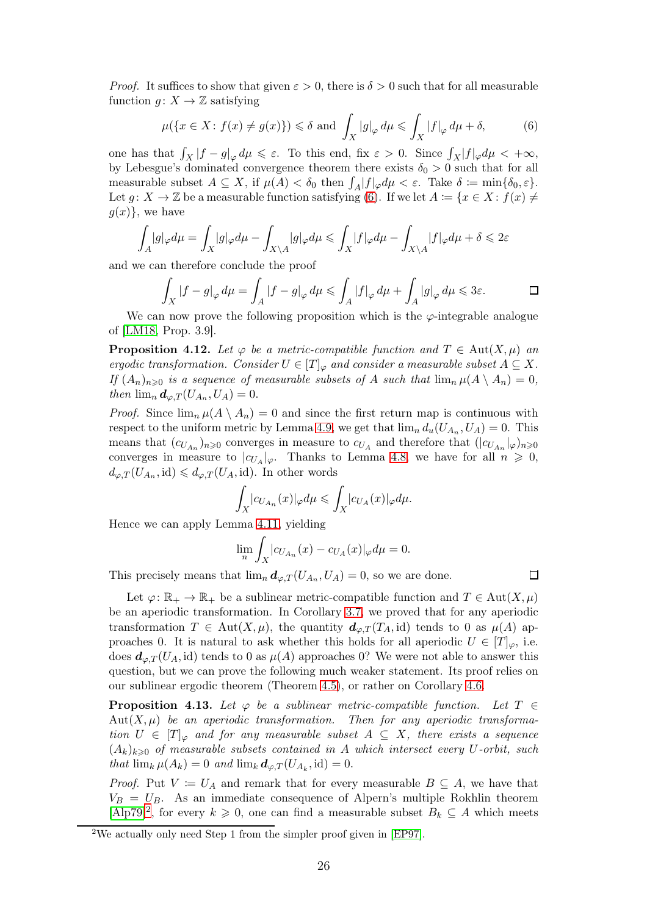*Proof.* It suffices to show that given  $\varepsilon > 0$ , there is  $\delta > 0$  such that for all measurable function  $g: X \to \mathbb{Z}$  satisfying

<span id="page-25-0"></span>
$$
\mu({x \in X : f(x) \neq g(x)} \le \delta \text{ and } \int_X |g|_{\varphi} d\mu \le \int_X |f|_{\varphi} d\mu + \delta,
$$
 (6)

one has that  $\int_X |f - g|_{\varphi} d\mu \leq \varepsilon$ . To this end, fix  $\varepsilon > 0$ . Since  $\int_X |f|_{\varphi} d\mu < +\infty$ , by Lebesgue's dominated convergence theorem there exists  $\delta_0 > 0$  such that for all measurable subset  $A \subseteq X$ , if  $\mu(A) < \delta_0$  then  $\int_A |f|_{\varphi} d\mu < \varepsilon$ . Take  $\delta := \min\{\delta_0, \varepsilon\}$ . Let  $g: X \to \mathbb{Z}$  be a measurable function satisfying [\(6\)](#page-25-0). If we let  $A := \{x \in X : f(x) \neq \emptyset\}$  $g(x)$ , we have

$$
\int_A |g|_\varphi d\mu = \int_X |g|_\varphi d\mu - \int_{X \backslash A} |g|_\varphi d\mu \leqslant \int_X |f|_\varphi d\mu - \int_{X \backslash A} |f|_\varphi d\mu + \delta \leqslant 2\varepsilon
$$

and we can therefore conclude the proof

$$
\int_X |f - g|_{\varphi} d\mu = \int_A |f - g|_{\varphi} d\mu \le \int_A |f|_{\varphi} d\mu + \int_A |g|_{\varphi} d\mu \le 3\varepsilon.
$$

We can now prove the following proposition which is the  $\varphi$ -integrable analogue of [\[LM18,](#page-33-2) Prop. 3.9].

<span id="page-25-3"></span>**Proposition 4.12.** Let  $\varphi$  be a metric-compatible function and  $T \in \text{Aut}(X, \mu)$  and ergodic transformation. Consider  $U \in [T]_{\varphi}$  and consider a measurable subset  $A \subseteq X$ . If  $(A_n)_{n\geqslant0}$  is a sequence of measurable subsets of A such that  $\lim_n \mu(A \setminus A_n) = 0$ , then  $\lim_{n} d_{\varphi,T}(U_{A_n},U_A) = 0.$ 

*Proof.* Since  $\lim_{n} \mu(A \setminus A_n) = 0$  and since the first return map is continuous with respect to the uniform metric by Lemma [4.9,](#page-24-0) we get that  $\lim_{n} d_u(U_{A_n}, U_A) = 0$ . This means that  $(c_{U_{A_n}})_{n\geqslant0}$  converges in measure to  $c_{U_A}$  and therefore that  $(|c_{U_{A_n}}|_{\varphi})_{n\geqslant0}$ converges in measure to  $|c_{U_A}|_{\varphi}$ . Thanks to Lemma [4.8,](#page-23-1) we have for all  $n \geq 0$ ,  $d_{\varphi,T}(U_{A_n},\text{id}) \leq d_{\varphi,T}(U_A,\text{id})$ . In other words

$$
\int_X |c_{U_{A_n}}(x)|_{\varphi} d\mu \leqslant \int_X |c_{U_A}(x)|_{\varphi} d\mu.
$$

Hence we can apply Lemma [4.11,](#page-24-1) yielding

$$
\lim_{n}\int_{X}|c_{U_{A_n}}(x)-c_{U_A}(x)|_{\varphi}d\mu=0.
$$

This precisely means that  $\lim_{n} d_{\varphi,T}(U_{A_n}, U_A) = 0$ , so we are done.

Let  $\varphi: \mathbb{R}_+ \to \mathbb{R}_+$  be a sublinear metric-compatible function and  $T \in Aut(X, \mu)$ be an aperiodic transformation. In Corollary [3.7,](#page-13-1) we proved that for any aperiodic transformation  $T \in Aut(X, \mu)$ , the quantity  $d_{\varphi,T}(T_A, id)$  tends to 0 as  $\mu(A)$  approaches 0. It is natural to ask whether this holds for all aperiodic  $U \in [T]_{\varphi}$ , i.e. does  $d_{\varphi,T}(U_A, id)$  tends to 0 as  $\mu(A)$  approaches 0? We were not able to answer this question, but we can prove the following much weaker statement. Its proof relies on our sublinear ergodic theorem (Theorem [4.5\)](#page-22-0), or rather on Corollary [4.6.](#page-23-2)

<span id="page-25-2"></span>**Proposition 4.13.** Let  $\varphi$  be a sublinear metric-compatible function. Let  $T \in$  $Aut(X, \mu)$  be an aperiodic transformation. Then for any aperiodic transformation  $U \in [T]_{\varphi}$  and for any measurable subset  $A \subseteq X$ , there exists a sequence  $(A_k)_{k\geq0}$  of measurable subsets contained in A which intersect every U-orbit, such that  $\lim_k \mu(A_k) = 0$  and  $\lim_k \mathbf{d}_{\varphi,T}(U_{A_k}, \mathrm{id}) = 0.$ 

*Proof.* Put  $V := U_A$  and remark that for every measurable  $B \subseteq A$ , we have that  $V_B = U_B$ . As an immediate consequence of Alpern's multiple Rokhlin theorem  $[{\rm Alp79}]^2$  $[{\rm Alp79}]^2$ , for every  $k \geq 0$ , one can find a measurable subset  $B_k \subseteq A$  which meets

П

<span id="page-25-1"></span><sup>2</sup>We actually only need Step 1 from the simpler proof given in [\[EP97\]](#page-32-18).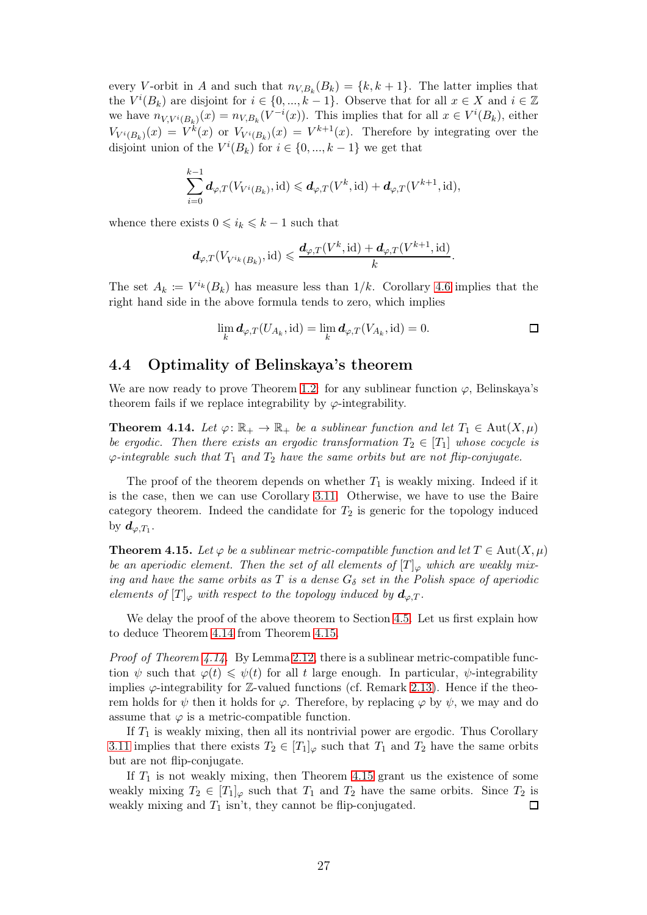every V-orbit in A and such that  $n_{V,B_k}(B_k) = \{k, k+1\}$ . The latter implies that the  $V^{i}(B_{k})$  are disjoint for  $i \in \{0, ..., k-1\}$ . Observe that for all  $x \in X$  and  $i \in \mathbb{Z}$ we have  $n_{V,V^i(B_k)}(x) = n_{V,B_k}(V^{-i}(x))$ . This implies that for all  $x \in V^i(B_k)$ , either  $V_{V^{i}(B_{k})}(x) = V^{k}(x)$  or  $V_{V^{i}(B_{k})}(x) = V^{k+1}(x)$ . Therefore by integrating over the disjoint union of the  $V^{i}(B_{k})$  for  $i \in \{0, ..., k-1\}$  we get that

$$
\sum_{i=0}^{k-1} \mathbf{d}_{\varphi,T}(V_{V^i(B_k)},\mathrm{id}) \leq \mathbf{d}_{\varphi,T}(V^k,\mathrm{id}) + \mathbf{d}_{\varphi,T}(V^{k+1},\mathrm{id}),
$$

whence there exists  $0 \leq i_k \leq k - 1$  such that

$$
\boldsymbol{d}_{\varphi,T}(V_{V^{i_k}(B_k)},\text{id}) \leqslant \frac{\boldsymbol{d}_{\varphi,T}(V^k,\text{id}) + \boldsymbol{d}_{\varphi,T}(V^{k+1},\text{id})}{k}.
$$

The set  $A_k := V^{i_k}(B_k)$  has measure less than  $1/k$ . Corollary [4.6](#page-23-2) implies that the right hand side in the above formula tends to zero, which implies

$$
\lim_{k} d_{\varphi,T}(U_{A_k}, \text{id}) = \lim_{k} d_{\varphi,T}(V_{A_k}, \text{id}) = 0.
$$

#### <span id="page-26-0"></span>4.4 Optimality of Belinskaya's theorem

We are now ready to prove Theorem [1.2:](#page-2-0) for any sublinear function  $\varphi$ , Belinskaya's theorem fails if we replace integrability by  $\varphi$ -integrability.

<span id="page-26-1"></span>**Theorem 4.14.** Let  $\varphi: \mathbb{R}_+ \to \mathbb{R}_+$  be a sublinear function and let  $T_1 \in \text{Aut}(X, \mu)$ be ergodic. Then there exists an ergodic transformation  $T_2 \in [T_1]$  whose cocycle is  $\varphi$ -integrable such that  $T_1$  and  $T_2$  have the same orbits but are not flip-conjugate.

The proof of the theorem depends on whether  $T_1$  is weakly mixing. Indeed if it is the case, then we can use Corollary [3.11.](#page-16-1) Otherwise, we have to use the Baire category theorem. Indeed the candidate for  $T_2$  is generic for the topology induced by  $d_{\varphi,T_1}$ .

<span id="page-26-2"></span>**Theorem 4.15.** Let  $\varphi$  be a sublinear metric-compatible function and let  $T \in \text{Aut}(X, \mu)$ be an aperiodic element. Then the set of all elements of  $[T]_{\varphi}$  which are weakly mixing and have the same orbits as T is a dense  $G_{\delta}$  set in the Polish space of aperiodic elements of  $[T]_{\varphi}$  with respect to the topology induced by  $d_{\varphi,T}$ .

We delay the proof of the above theorem to Section [4.5.](#page-27-0) Let us first explain how to deduce Theorem [4.14](#page-26-1) from Theorem [4.15.](#page-26-2)

*Proof of Theorem [4.14.](#page-26-1)* By Lemma [2.12,](#page-8-0) there is a sublinear metric-compatible function  $\psi$  such that  $\varphi(t) \leq \psi(t)$  for all t large enough. In particular,  $\psi$ -integrability implies  $\varphi$ -integrability for  $\mathbb{Z}$ -valued functions (cf. Remark [2.13\)](#page-9-2). Hence if the theorem holds for  $\psi$  then it holds for  $\varphi$ . Therefore, by replacing  $\varphi$  by  $\psi$ , we may and do assume that  $\varphi$  is a metric-compatible function.

If  $T_1$  is weakly mixing, then all its nontrivial power are ergodic. Thus Corollary [3.11](#page-16-1) implies that there exists  $T_2 \in [T_1]_{\varphi}$  such that  $T_1$  and  $T_2$  have the same orbits but are not flip-conjugate.

If  $T_1$  is not weakly mixing, then Theorem [4.15](#page-26-2) grant us the existence of some weakly mixing  $T_2 \in [T_1]_{\varphi}$  such that  $T_1$  and  $T_2$  have the same orbits. Since  $T_2$  is weakly mixing and  $T_1$  isn't, they cannot be flip-conjugated.  $\Box$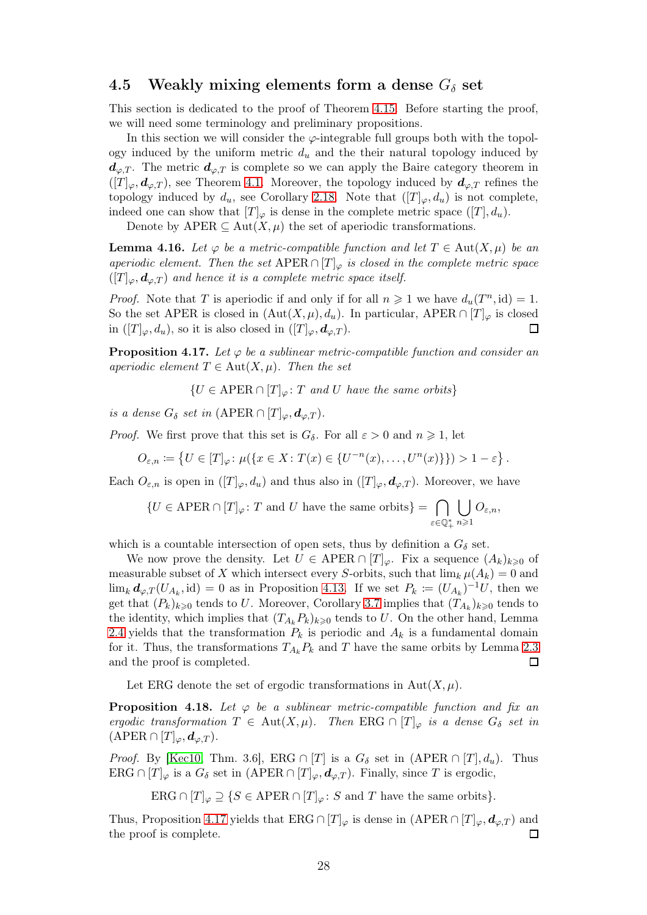#### <span id="page-27-0"></span>4.5 Weakly mixing elements form a dense  $G_{\delta}$  set

This section is dedicated to the proof of Theorem [4.15.](#page-26-2) Before starting the proof, we will need some terminology and preliminary propositions.

In this section we will consider the  $\varphi$ -integrable full groups both with the topology induced by the uniform metric  $d_u$  and the their natural topology induced by  $d_{\varphi,T}$ . The metric  $d_{\varphi,T}$  is complete so we can apply the Baire category theorem in  $([T]_{\varphi}, d_{\varphi,T})$ , see Theorem [4.1.](#page-19-1) Moreover, the topology induced by  $d_{\varphi,T}$  refines the topology induced by  $d_u$ , see Corollary [2.18.](#page-11-3) Note that  $([T]_{\varphi}, d_u)$  is not complete, indeed one can show that  $[T]_{\varphi}$  is dense in the complete metric space  $([T], d_u)$ .

Denote by APER  $\subseteq$  Aut $(X,\mu)$  the set of aperiodic transformations.

**Lemma 4.16.** Let  $\varphi$  be a metric-compatible function and let  $T \in \text{Aut}(X, \mu)$  be an aperiodic element. Then the set  $\text{APER} \cap [T]_{\varphi}$  is closed in the complete metric space  $([T]_{\varphi}, \boldsymbol{d}_{\varphi,T})$  and hence it is a complete metric space itself.

*Proof.* Note that T is aperiodic if and only if for all  $n \geq 1$  we have  $d_u(T^n, id) = 1$ . So the set APER is closed in  $(\text{Aut}(X,\mu), d_u)$ . In particular, APER  $\cap [T]_{\varphi}$  is closed in  $([T]_{\varphi}, d_u)$ , so it is also closed in  $([T]_{\varphi}, d_{\varphi,T})$ .  $\Box$ 

<span id="page-27-1"></span>**Proposition 4.17.** Let  $\varphi$  be a sublinear metric-compatible function and consider an aperiodic element  $T \in Aut(X, \mu)$ . Then the set

 $\{U \in \text{APER} \cap [T]_{\omega} : T \text{ and } U \text{ have the same orbits}\}\$ 

is a dense  $G_{\delta}$  set in (APER ∩  $[T]_{\varphi}, \boldsymbol{d}_{\varphi, T}$ ).

*Proof.* We first prove that this set is  $G_{\delta}$ . For all  $\varepsilon > 0$  and  $n \geq 1$ , let

$$
O_{\varepsilon,n} \coloneqq \left\{ U \in [T]_{\varphi} \colon \mu(\left\{ x \in X : T(x) \in \{U^{-n}(x), \dots, U^{n}(x)\}\right\} ) > 1 - \varepsilon \right\}.
$$

Each  $O_{\varepsilon,n}$  is open in  $([T]_{\varphi}, d_u)$  and thus also in  $([T]_{\varphi}, d_{\varphi,T})$ . Moreover, we have

 ${U \in \mathrm{APER} \cap [T]_{\varphi} \colon T \text{ and } U \text{ have the same orbits}} = \bigcap$ .<br>ε∈Q\*  $\overline{1}$  $n\geqslant 1$  $O_{\varepsilon,n},$ 

which is a countable intersection of open sets, thus by definition a  $G_{\delta}$  set.

We now prove the density. Let  $U \in \text{APER} \cap [T]_{\varphi}$ . Fix a sequence  $(A_k)_{k \geq 0}$  of measurable subset of X which intersect every S-orbits, such that  $\lim_{k} \mu(A_k) = 0$  and  $\lim_k \mathbf{d}_{\varphi,T}(U_{A_k},\mathrm{id}) = 0$  as in Proposition [4.13.](#page-25-2) If we set  $P_k := (U_{A_k})^{-1}U$ , then we get that  $(P_k)_{k\geqslant0}$  tends to U. Moreover, Corollary [3.7](#page-13-1) implies that  $(T_{A_k})_{k\geqslant0}$  tends to the identity, which implies that  $(T_{A_k} P_k)_{k\geq 0}$  tends to U. On the other hand, Lemma [2.4](#page-6-5) yields that the transformation  $P_k$  is periodic and  $A_k$  is a fundamental domain for it. Thus, the transformations  $T_{A_k} P_k$  and T have the same orbits by Lemma [2.3](#page-6-4) and the proof is completed.  $\Box$ 

Let ERG denote the set of ergodic transformations in  $Aut(X, \mu)$ .

<span id="page-27-2"></span>**Proposition 4.18.** Let  $\varphi$  be a sublinear metric-compatible function and fix an ergodic transformation  $T \in Aut(X, \mu)$ . Then ERG  $\cap [T]_{\varphi}$  is a dense  $G_{\delta}$  set in  $(\text{APER} \cap [T]_{\varphi}, d_{\varphi,T}).$ 

*Proof.* By [\[Kec10,](#page-32-11) Thm. 3.6], ERG  $\cap$  [T] is a  $G_{\delta}$  set in (APER  $\cap$  [T],  $d_u$ ). Thus ERG  $\cap [T]_{\varphi}$  is a  $G_{\delta}$  set in  $(APER \cap [T]_{\varphi}, d_{\varphi,T})$ . Finally, since T is ergodic,

ERG  $\cap$   $[T]_{\varphi} \supseteq \{S \in \mathrm{APER} \cap [T]_{\varphi} : S \text{ and } T \text{ have the same orbits}\}.$ 

Thus, Proposition [4.17](#page-27-1) yields that ERG ∩  $[T]_{\varphi}$  is dense in  $(APER \cap [T]_{\varphi}, d_{\varphi,T})$  and the proof is complete. П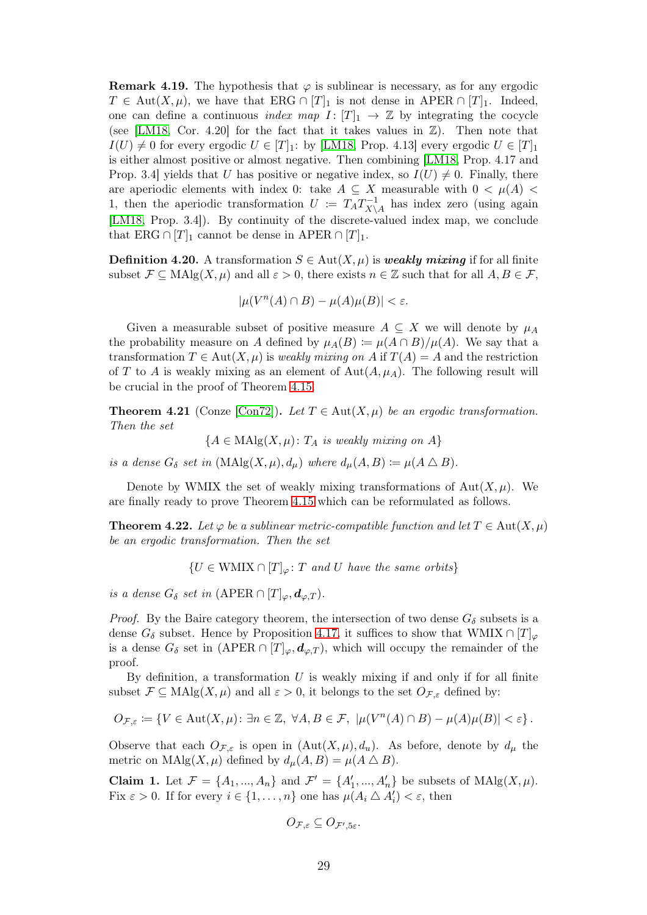**Remark 4.19.** The hypothesis that  $\varphi$  is sublinear is necessary, as for any ergodic  $T \in \text{Aut}(X,\mu)$ , we have that ERG  $\cap [T]_1$  is not dense in APER  $\cap [T]_1$ . Indeed, one can define a continuous *index map*  $I: [T]_1 \rightarrow \mathbb{Z}$  by integrating the cocycle (see [\[LM18,](#page-33-2) Cor. 4.20] for the fact that it takes values in  $\mathbb{Z}$ ). Then note that  $I(U) \neq 0$  for every ergodic  $U \in [T]_1$ : by [\[LM18,](#page-33-2) Prop. 4.13] every ergodic  $U \in [T]_1$ is either almost positive or almost negative. Then combining [\[LM18,](#page-33-2) Prop. 4.17 and Prop. 3.4] yields that U has positive or negative index, so  $I(U) \neq 0$ . Finally, there are aperiodic elements with index 0: take  $A \subseteq X$  measurable with  $0 < \mu(A)$ 1, then the aperiodic transformation  $U := T_A T_{X}^{-1}$  $\chi_{\setminus A}^{n-1}$  has index zero (using again [\[LM18,](#page-33-2) Prop. 3.4]). By continuity of the discrete-valued index map, we conclude that ERG ∩ [T]<sub>1</sub> cannot be dense in APER ∩ [T]<sub>1</sub>.

**Definition 4.20.** A transformation  $S \in Aut(X, \mu)$  is *weakly mixing* if for all finite subset  $\mathcal{F} \subseteq \text{MAlg}(X, \mu)$  and all  $\varepsilon > 0$ , there exists  $n \in \mathbb{Z}$  such that for all  $A, B \in \mathcal{F}$ ,

$$
|\mu(V^n(A) \cap B) - \mu(A)\mu(B)| < \varepsilon.
$$

Given a measurable subset of positive measure  $A \subseteq X$  we will denote by  $\mu_A$ the probability measure on A defined by  $\mu_A(B) := \mu(A \cap B)/\mu(A)$ . We say that a transformation  $T \in Aut(X, \mu)$  is *weakly mixing on* A if  $T(A) = A$  and the restriction of T to A is weakly mixing as an element of  $\text{Aut}(A, \mu_A)$ . The following result will be crucial in the proof of Theorem [4.15.](#page-26-2)

**Theorem 4.21** (Conze [\[Con72\]](#page-32-8)). Let  $T \in Aut(X, \mu)$  be an ergodic transformation. Then the set

 ${A \in \text{MAlg}(X, \mu): T_A \text{ is weakly mixing on } A}$ 

is a dense  $G_{\delta}$  set in  $(MAlg(X, \mu), d_{\mu})$  where  $d_{\mu}(A, B) := \mu(A \bigtriangleup B)$ .

Denote by WMIX the set of weakly mixing transformations of  $Aut(X, \mu)$ . We are finally ready to prove Theorem [4.15](#page-26-2) which can be reformulated as follows.

**Theorem 4.22.** Let  $\varphi$  be a sublinear metric-compatible function and let  $T \in \text{Aut}(X, \mu)$ be an ergodic transformation. Then the set

 ${U \in WMIX \cap [T]_{\omega} : T \text{ and } U \text{ have the same orbits}}$ 

is a dense  $G_{\delta}$  set in (APER  $\cap$   $[T]_{\varphi}, \mathbf{d}_{\varphi,T}$ ).

*Proof.* By the Baire category theorem, the intersection of two dense  $G_{\delta}$  subsets is a dense  $G_{\delta}$  subset. Hence by Proposition [4.17,](#page-27-1) it suffices to show that WMIX  $\cap [T]_{\varphi}$ is a dense  $G_{\delta}$  set in  $(\text{APER} \cap [T]_{\varphi}, d_{\varphi,T})$ , which will occupy the remainder of the proof.

By definition, a transformation  $U$  is weakly mixing if and only if for all finite subset  $\mathcal{F} \subseteq \text{MAlg}(X, \mu)$  and all  $\varepsilon > 0$ , it belongs to the set  $O_{\mathcal{F}, \varepsilon}$  defined by:

$$
O_{\mathcal{F},\varepsilon} := \{ V \in \text{Aut}(X,\mu) \colon \exists n \in \mathbb{Z}, \ \forall A,B \in \mathcal{F}, \ |\mu(V^n(A) \cap B) - \mu(A)\mu(B)| < \varepsilon \} \, .
$$

Observe that each  $O_{\mathcal{F},\varepsilon}$  is open in  $(\text{Aut}(X,\mu),d_u)$ . As before, denote by  $d_{\mu}$  the metric on  $\text{MAlg}(X, \mu)$  defined by  $d_{\mu}(A, B) = \mu(A \bigtriangleup B)$ .

<span id="page-28-0"></span>Claim 1. Let  $\mathcal{F} = \{A_1, ..., A_n\}$  and  $\mathcal{F}' = \{A'_1, ..., A'_n\}$  be subsets of  $\text{MAlg}(X, \mu)$ . Fix  $\varepsilon > 0$ . If for every  $i \in \{1, ..., n\}$  one has  $\mu(A_i \triangle A'_i) < \varepsilon$ , then

$$
O_{\mathcal{F},\varepsilon} \subseteq O_{\mathcal{F}',5\varepsilon}.
$$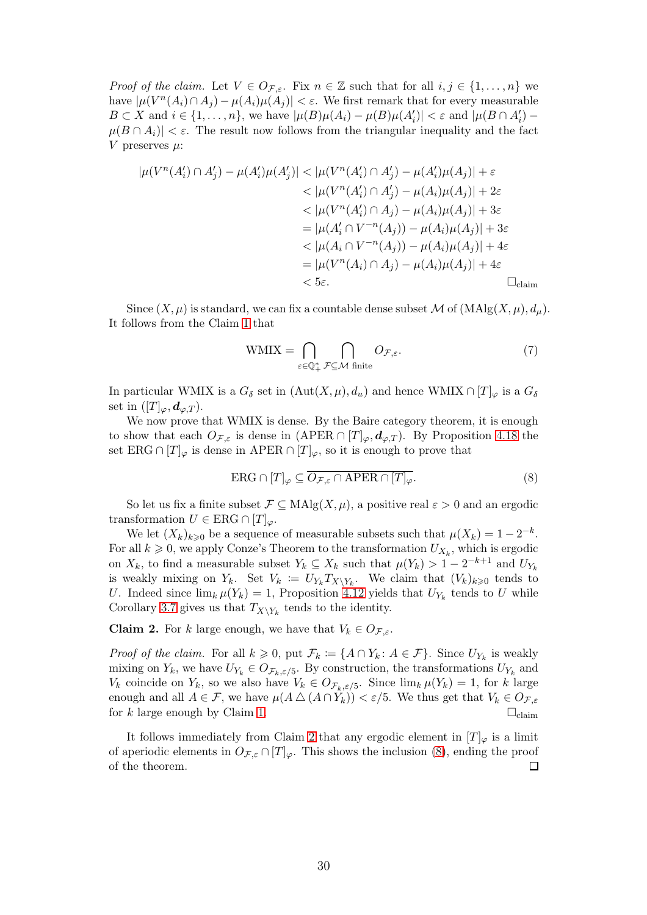*Proof of the claim.* Let  $V \in O_{\mathcal{F}_{\mathcal{E}}}$ . Fix  $n \in \mathbb{Z}$  such that for all  $i, j \in \{1, ..., n\}$  we have  $|\mu(V^n(A_i) \cap A_j) - \mu(A_i)\mu(A_j)| < \varepsilon$ . We first remark that for every measurable  $B \subset X$  and  $i \in \{1, \ldots, n\}$ , we have  $|\mu(B)\mu(A_i) - \mu(B)\mu(A'_i)| < \varepsilon$  and  $|\mu(B \cap A'_i) - \mu(B)\mu(A'_i)|$  $|\mu(B \cap A_i)| < \varepsilon$ . The result now follows from the triangular inequality and the fact V preserves  $\mu$ :

$$
|\mu(V^{n}(A'_{i}) \cap A'_{j}) - \mu(A'_{i})\mu(A'_{j})| < |\mu(V^{n}(A'_{i}) \cap A'_{j}) - \mu(A'_{i})\mu(A_{j})| + \varepsilon
$$
  

$$
< |\mu(V^{n}(A'_{i}) \cap A'_{j}) - \mu(A_{i})\mu(A_{j})| + 2\varepsilon
$$
  

$$
< |\mu(V^{n}(A'_{i}) \cap A_{j}) - \mu(A_{i})\mu(A_{j})| + 3\varepsilon
$$
  

$$
= |\mu(A'_{i} \cap V^{-n}(A_{j})) - \mu(A_{i})\mu(A_{j})| + 3\varepsilon
$$
  

$$
< |\mu(A_{i} \cap V^{-n}(A_{j})) - \mu(A_{i})\mu(A_{j})| + 4\varepsilon
$$
  

$$
= |\mu(V^{n}(A_{i}) \cap A_{j}) - \mu(A_{i})\mu(A_{j})| + 4\varepsilon
$$
  

$$
< 5\varepsilon.
$$

Since  $(X, \mu)$  is standard, we can fix a countable dense subset M of  $(MAlg(X, \mu), d_{\mu})$ . It follows from the Claim [1](#page-28-0) that

$$
WMIX = \bigcap_{\varepsilon \in \mathbb{Q}_+^*} \bigcap_{\mathcal{F} \subseteq \mathcal{M} \text{ finite}} O_{\mathcal{F},\varepsilon}.
$$
 (7)

In particular WMIX is a  $G_{\delta}$  set in  $(Aut(X,\mu), d_u)$  and hence WMIX  $\cap [T]_{\varphi}$  is a  $G_{\delta}$ set in  $([T]_{\varphi}, \boldsymbol{d}_{\varphi,T}).$ 

We now prove that WMIX is dense. By the Baire category theorem, it is enough to show that each  $O_{\mathcal{F},\varepsilon}$  is dense in  $(APER \cap [T]_{\varphi},\boldsymbol{d}_{\varphi,T})$ . By Proposition [4.18](#page-27-2) the set ERG ∩  $[T]_{\varphi}$  is dense in APER ∩  $[T]_{\varphi}$ , so it is enough to prove that

<span id="page-29-1"></span>
$$
ERG \cap [T]_{\varphi} \subseteq \overline{O_{\mathcal{F},\varepsilon} \cap APER \cap [T]_{\varphi}}.\tag{8}
$$

So let us fix a finite subset  $\mathcal{F} \subseteq \text{MAlg}(X, \mu)$ , a positive real  $\varepsilon > 0$  and an ergodic transformation  $U \in ERG \cap [T]_{\varphi}$ .

We let  $(X_k)_{k\geqslant 0}$  be a sequence of measurable subsets such that  $\mu(X_k) = 1 - 2^{-k}$ . For all  $k \geqslant 0$ , we apply Conze's Theorem to the transformation  $U_{X_k}$ , which is ergodic on  $X_k$ , to find a measurable subset  $Y_k \subseteq X_k$  such that  $\mu(Y_k) > 1 - 2^{-k+1}$  and  $U_{Y_k}$ is weakly mixing on  $Y_k$ . Set  $V_k := U_{Y_k} T_{X \setminus Y_k}$ . We claim that  $(V_k)_{k \geqslant 0}$  tends to U. Indeed since  $\lim_{k} \mu(Y_k) = 1$ , Proposition [4.12](#page-25-3) yields that  $U_{Y_k}$  tends to U while Corollary [3.7](#page-13-1) gives us that  $T_{X\setminus Y_k}$  tends to the identity.

<span id="page-29-0"></span>**Claim 2.** For k large enough, we have that  $V_k \in O_{\mathcal{F},\varepsilon}$ .

*Proof of the claim.* For all  $k \geq 0$ , put  $\mathcal{F}_k := \{A \cap Y_k : A \in \mathcal{F}\}\$ . Since  $U_{Y_k}$  is weakly mixing on  $Y_k$ , we have  $U_{Y_k} \in O_{\mathcal{F}_k, \varepsilon/5}$ . By construction, the transformations  $U_{Y_k}$  and  $V_k$  coincide on  $Y_k$ , so we also have  $V_k \in O_{\mathcal{F}_k, \varepsilon/5}$ . Since  $\lim_k \mu(Y_k) = 1$ , for k large enough and all  $A \in \mathcal{F}$ , we have  $\mu(A \triangle (A \cap Y_k)) < \varepsilon/5$ . We thus get that  $V_k \in O_{\mathcal{F} \in \mathcal{F}}$ for k large enough by Claim [1.](#page-28-0)  $\Box_{\text{claim}}$ 

It follows immediately from Claim [2](#page-29-0) that any ergodic element in  $[T]_{\varphi}$  is a limit of aperiodic elements in  $O_{\mathcal{F},\varepsilon} \cap [T]_{\varphi}$ . This shows the inclusion [\(8\)](#page-29-1), ending the proof of the theorem.  $\Box$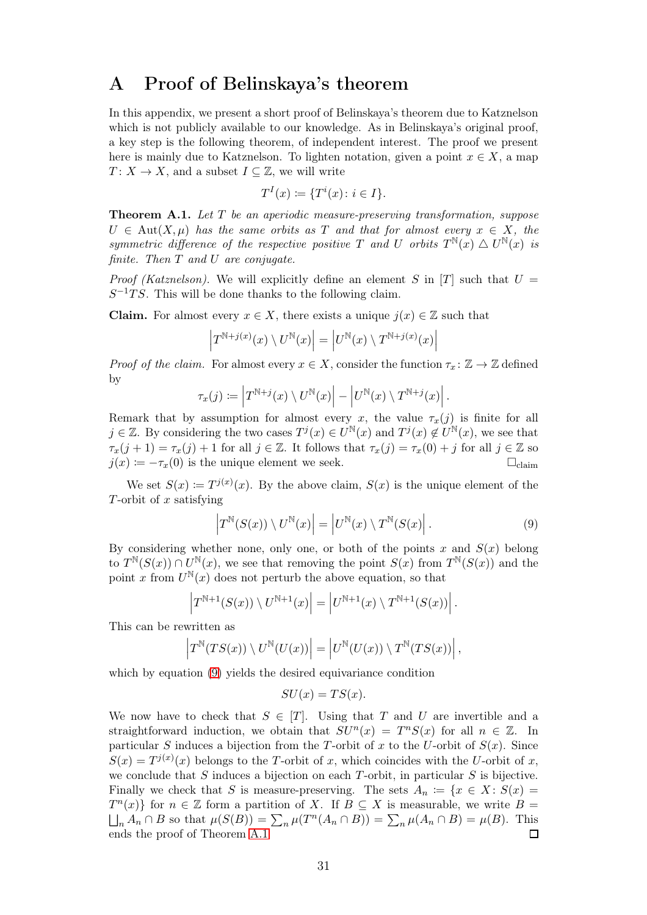## <span id="page-30-0"></span>A Proof of Belinskaya's theorem

In this appendix, we present a short proof of Belinskaya's theorem due to Katznelson which is not publicly available to our knowledge. As in Belinskaya's original proof, a key step is the following theorem, of independent interest. The proof we present here is mainly due to Katznelson. To lighten notation, given a point  $x \in X$ , a map  $T: X \to X$ , and a subset  $I \subseteq \mathbb{Z}$ , we will write

$$
TI(x) \coloneqq \{Ti(x) : i \in I\}.
$$

<span id="page-30-2"></span>**Theorem A.1.** Let  $T$  be an aperiodic measure-preserving transformation, suppose  $U \in Aut(X, \mu)$  has the same orbits as T and that for almost every  $x \in X$ , the symmetric difference of the respective positive T and U orbits  $T^{\mathbb{N}}(x) \triangle U^{\mathbb{N}}(x)$  is finite. Then T and U are conjugate.

*Proof (Katznelson).* We will explicitly define an element S in [T] such that  $U =$  $S^{-1}TS$ . This will be done thanks to the following claim.

**Claim.** For almost every  $x \in X$ , there exists a unique  $j(x) \in \mathbb{Z}$  such that

$$
\left|T^{\mathbb{N}+j(x)}(x)\setminus U^{\mathbb{N}}(x)\right|=\left|U^{\mathbb{N}}(x)\setminus T^{\mathbb{N}+j(x)}(x)\right|
$$

*Proof of the claim.* For almost every  $x \in X$ , consider the function  $\tau_x : \mathbb{Z} \to \mathbb{Z}$  defined by

$$
\tau_x(j) \coloneqq \left| T^{\mathbb{N}+j}(x) \setminus U^{\mathbb{N}}(x) \right| - \left| U^{\mathbb{N}}(x) \setminus T^{\mathbb{N}+j}(x) \right|.
$$

Remark that by assumption for almost every x, the value  $\tau_x(j)$  is finite for all  $j \in \mathbb{Z}$ . By considering the two cases  $T^j(x) \in U^{\mathbb{N}}(x)$  and  $T^j(x) \notin U^{\mathbb{N}}(x)$ , we see that  $\tau_x(j+1) = \tau_x(j) + 1$  for all  $j \in \mathbb{Z}$ . It follows that  $\tau_x(j) = \tau_x(0) + j$  for all  $j \in \mathbb{Z}$  so  $j(x) := -\tau_x(0)$  is the unique element we seek.  $\square_{\text{claim}}$ 

We set  $S(x) := T^{j(x)}(x)$ . By the above claim,  $S(x)$  is the unique element of the T-orbit of  $x$  satisfying

<span id="page-30-1"></span>
$$
\left|T^{\mathbb{N}}(S(x))\setminus U^{\mathbb{N}}(x)\right| = \left|U^{\mathbb{N}}(x)\setminus T^{\mathbb{N}}(S(x)\right|.
$$
\n(9)

By considering whether none, only one, or both of the points x and  $S(x)$  belong to  $T^{N}(S(x)) \cap U^{N}(x)$ , we see that removing the point  $S(x)$  from  $T^{N}(S(x))$  and the point x from  $U^{\mathbb{N}}(x)$  does not perturb the above equation, so that

$$
\left|T^{\mathbb{N}+1}(S(x))\setminus U^{\mathbb{N}+1}(x)\right|=\left|U^{\mathbb{N}+1}(x)\setminus T^{\mathbb{N}+1}(S(x))\right|.
$$

This can be rewritten as

$$
\left|T^{\mathbb{N}}(TS(x))\setminus U^{\mathbb{N}}(U(x))\right|=\left|U^{\mathbb{N}}(U(x))\setminus T^{\mathbb{N}}(TS(x))\right|,
$$

which by equation [\(9\)](#page-30-1) yields the desired equivariance condition

$$
SU(x) = TS(x).
$$

We now have to check that  $S \in [T]$ . Using that T and U are invertible and a straightforward induction, we obtain that  $SU<sup>n</sup>(x) = T<sup>n</sup>S(x)$  for all  $n \in \mathbb{Z}$ . In particular S induces a bijection from the T-orbit of x to the U-orbit of  $S(x)$ . Since  $S(x) = T^{j(x)}(x)$  belongs to the T-orbit of x, which coincides with the U-orbit of x, we conclude that  $S$  induces a bijection on each  $T$ -orbit, in particular  $S$  is bijective. Finally we check that S is measure-preserving. The sets  $A_n := \{x \in X : S(x) =$  $T^{n}(x)$  for  $n \in \mathbb{Z}$  form a partition of X. If  $B \subseteq X$  is measurable, we write  $B =$  $\bigcup_n A_n \cap B$  so that  $\mu(S(B)) = \sum_n \mu(T^n(A_n \cap B)) = \sum_n \mu(A_n \cap B) = \mu(B)$ . This ends the proof of Theorem [A.1](#page-30-2)  $\Box$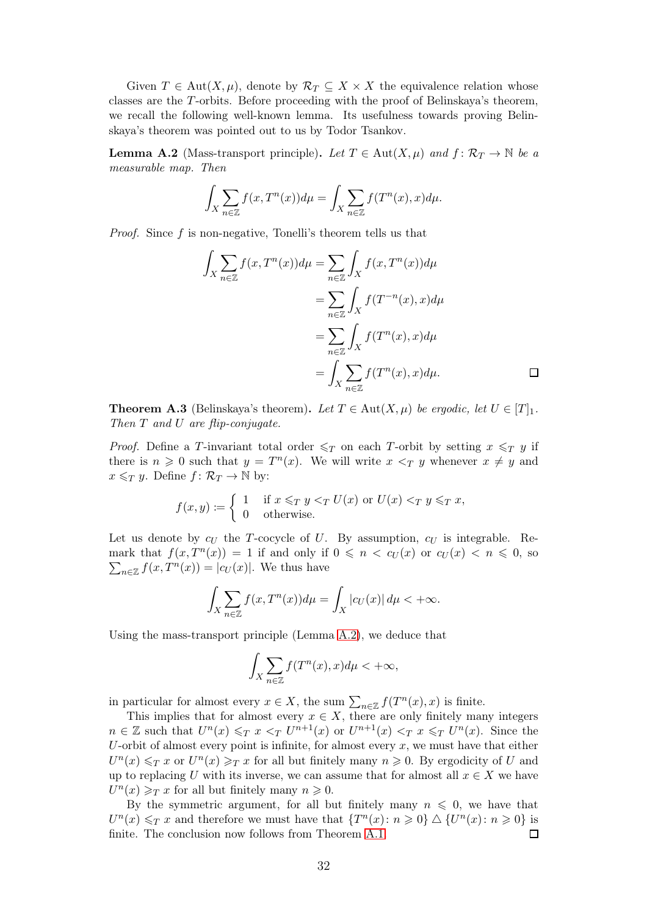Given  $T \in \text{Aut}(X, \mu)$ , denote by  $\mathcal{R}_T \subseteq X \times X$  the equivalence relation whose classes are the T-orbits. Before proceeding with the proof of Belinskaya's theorem, we recall the following well-known lemma. Its usefulness towards proving Belinskaya's theorem was pointed out to us by Todor Tsankov.

<span id="page-31-0"></span>**Lemma A.2** (Mass-transport principle). Let  $T \in Aut(X, \mu)$  and  $f: \mathcal{R}_T \to \mathbb{N}$  be a measurable map. Then

$$
\int_X \sum_{n \in \mathbb{Z}} f(x, T^n(x)) d\mu = \int_X \sum_{n \in \mathbb{Z}} f(T^n(x), x) d\mu.
$$

*Proof.* Since  $f$  is non-negative, Tonelli's theorem tells us that

$$
\int_X \sum_{n \in \mathbb{Z}} f(x, T^n(x)) d\mu = \sum_{n \in \mathbb{Z}} \int_X f(x, T^n(x)) d\mu
$$

$$
= \sum_{n \in \mathbb{Z}} \int_X f(T^{-n}(x), x) d\mu
$$

$$
= \sum_{n \in \mathbb{Z}} \int_X f(T^n(x), x) d\mu
$$

$$
= \int_X \sum_{n \in \mathbb{Z}} f(T^n(x), x) d\mu.
$$

**Theorem A.3** (Belinskaya's theorem). Let  $T \in Aut(X, \mu)$  be ergodic, let  $U \in [T]_1$ . Then  $T$  and  $U$  are flip-conjugate.

*Proof.* Define a T-invariant total order  $\leq_T$  on each T-orbit by setting  $x \leq_T y$  if there is  $n \geq 0$  such that  $y = T^n(x)$ . We will write  $x \leq_T y$  whenever  $x \neq y$  and  $x \leq_T y$ . Define  $f: \mathcal{R}_T \to \mathbb{N}$  by:

$$
f(x,y) := \begin{cases} 1 & \text{if } x \leq_T y <_T U(x) \text{ or } U(x) <_T y \leq_T x, \\ 0 & \text{otherwise.} \end{cases}
$$

Let us denote by  $c_U$  the T-cocycle of U. By assumption,  $c_U$  is integrable. Remark that  $f(x,T^n(x)) = 1$  if and only if  $0 \leq n \leq c_U(x)$  or  $c_U(x) \leq n \leq 0$ , so  $\sum_{n\in\mathbb{Z}}f(x,T^n(x))=|c_U(x)|.$  We thus have

$$
\int_X \sum_{n \in \mathbb{Z}} f(x, T^n(x)) d\mu = \int_X |c_U(x)| d\mu < +\infty.
$$

Using the mass-transport principle (Lemma [A.2\)](#page-31-0), we deduce that

$$
\int_X \sum_{n \in \mathbb{Z}} f(T^n(x), x) d\mu < +\infty,
$$

in particular for almost every  $x \in X$ , the sum  $\sum_{n \in \mathbb{Z}} f(T^n(x), x)$  is finite.

This implies that for almost every  $x \in X$ , there are only finitely many integers  $n \in \mathbb{Z}$  such that  $U^n(x) \leq T x \leq T U^{n+1}(x)$  or  $U^{n+1}(x) \leq T x \leq T U^n(x)$ . Since the U-orbit of almost every point is infinite, for almost every  $x$ , we must have that either  $U^{n}(x) \leq T x$  or  $U^{n}(x) \geq T x$  for all but finitely many  $n \geq 0$ . By ergodicity of U and up to replacing U with its inverse, we can assume that for almost all  $x \in X$  we have  $U^n(x) \geq T x$  for all but finitely many  $n \geq 0$ .

By the symmetric argument, for all but finitely many  $n \leq 0$ , we have that  $U^{n}(x) \leq T x$  and therefore we must have that  $\{T^{n}(x): n \geq 0\} \triangle \{U^{n}(x): n \geq 0\}$  is finite. The conclusion now follows from Theorem [A.1.](#page-30-2)  $\Box$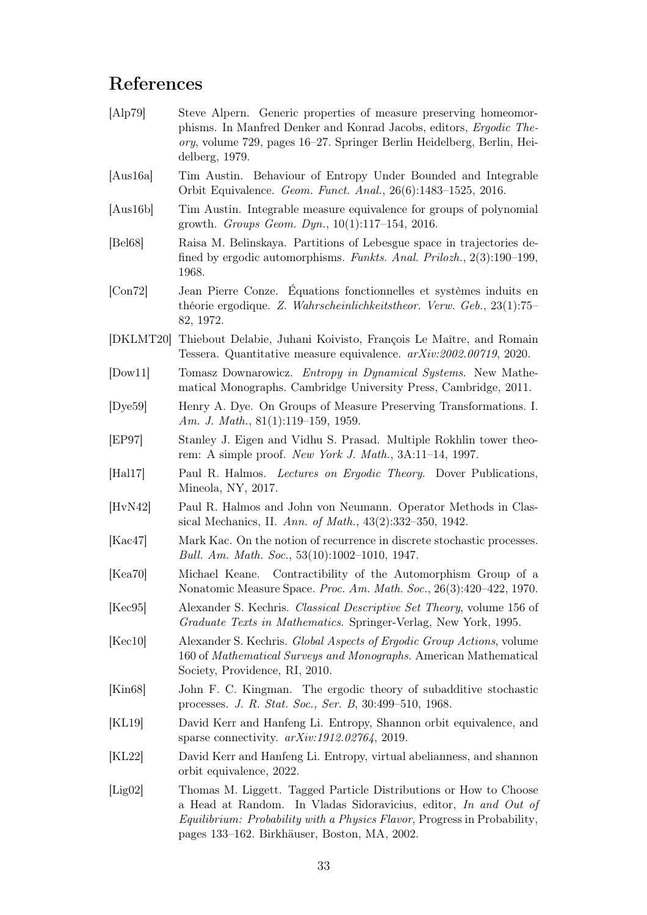# References

<span id="page-32-18"></span><span id="page-32-17"></span><span id="page-32-13"></span><span id="page-32-9"></span><span id="page-32-8"></span><span id="page-32-5"></span><span id="page-32-4"></span><span id="page-32-3"></span><span id="page-32-2"></span><span id="page-32-1"></span>[Alp79] Steve Alpern. Generic properties of measure preserving homeomorphisms. In Manfred Denker and Konrad Jacobs, editors, Ergodic Theory, volume 729, pages 16–27. Springer Berlin Heidelberg, Berlin, Heidelberg, 1979. [Aus16a] Tim Austin. Behaviour of Entropy Under Bounded and Integrable Orbit Equivalence. Geom. Funct. Anal., 26(6):1483–1525, 2016. [Aus16b] Tim Austin. Integrable measure equivalence for groups of polynomial growth. Groups Geom. Dyn., 10(1):117–154, 2016. [Bel68] Raisa M. Belinskaya. Partitions of Lebesgue space in trajectories defined by ergodic automorphisms. Funkts. Anal. Prilozh., 2(3):190–199, 1968. [Con72] Jean Pierre Conze. Équations fonctionnelles et systèmes induits en théorie ergodique. Z. Wahrscheinlichkeitstheor. Verw. Geb., 23(1):75– 82, 1972. [DKLMT20] Thiebout Delabie, Juhani Koivisto, François Le Maître, and Romain Tessera. Quantitative measure equivalence. arXiv:2002.00719, 2020. [Dow11] Tomasz Downarowicz. Entropy in Dynamical Systems. New Mathematical Monographs. Cambridge University Press, Cambridge, 2011. [Dye59] Henry A. Dye. On Groups of Measure Preserving Transformations. I. Am. J. Math., 81(1):119-159, 1959. [EP97] Stanley J. Eigen and Vidhu S. Prasad. Multiple Rokhlin tower theorem: A simple proof. New York J. Math., 3A:11–14, 1997. [Hal17] Paul R. Halmos. Lectures on Ergodic Theory. Dover Publications, Mineola, NY, 2017. [HvN42] Paul R. Halmos and John von Neumann. Operator Methods in Classical Mechanics, II. Ann. of Math., 43(2):332–350, 1942. [Kac47] Mark Kac. On the notion of recurrence in discrete stochastic processes. Bull. Am. Math. Soc., 53(10):1002–1010, 1947. [Kea70] Michael Keane. Contractibility of the Automorphism Group of a Nonatomic Measure Space. *Proc. Am. Math. Soc.*, 26(3):420–422, 1970. [Kec95] Alexander S. Kechris. Classical Descriptive Set Theory, volume 156 of Graduate Texts in Mathematics. Springer-Verlag, New York, 1995. [Kec10] Alexander S. Kechris. Global Aspects of Ergodic Group Actions, volume 160 of Mathematical Surveys and Monographs. American Mathematical Society, Providence, RI, 2010. [Kin68] John F. C. Kingman. The ergodic theory of subadditive stochastic processes. J. R. Stat. Soc., Ser. B, 30:499–510, 1968. [KL19] David Kerr and Hanfeng Li. Entropy, Shannon orbit equivalence, and sparse connectivity.  $arXiv:1912.02764$ , 2019. [KL22] David Kerr and Hanfeng Li. Entropy, virtual abelianness, and shannon orbit equivalence, 2022. [Lig02] Thomas M. Liggett. Tagged Particle Distributions or How to Choose a Head at Random. In Vladas Sidoravicius, editor, In and Out of Equilibrium: Probability with a Physics Flavor, Progress in Probability,

<span id="page-32-16"></span><span id="page-32-15"></span><span id="page-32-14"></span><span id="page-32-12"></span><span id="page-32-11"></span><span id="page-32-10"></span><span id="page-32-7"></span><span id="page-32-6"></span><span id="page-32-0"></span>pages 133–162. Birkhäuser, Boston, MA, 2002.